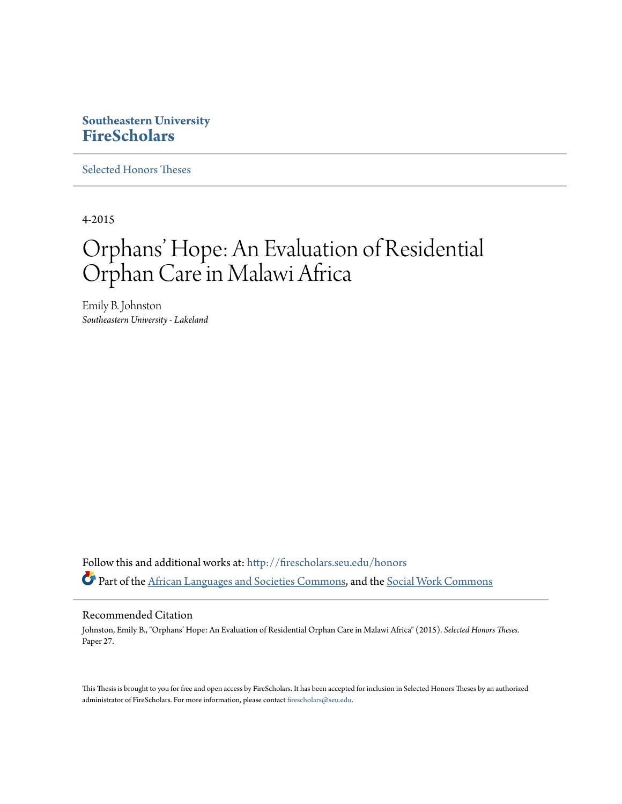# **Southeastern University [FireScholars](http://firescholars.seu.edu?utm_source=firescholars.seu.edu%2Fhonors%2F27&utm_medium=PDF&utm_campaign=PDFCoverPages)**

[Selected Honors Theses](http://firescholars.seu.edu/honors?utm_source=firescholars.seu.edu%2Fhonors%2F27&utm_medium=PDF&utm_campaign=PDFCoverPages)

4-2015

# Orphans' Hope: An Evaluation of Residential Orphan Care in Malawi Africa

Emily B. Johnston *Southeastern University - Lakeland*

Follow this and additional works at: [http://firescholars.seu.edu/honors](http://firescholars.seu.edu/honors?utm_source=firescholars.seu.edu%2Fhonors%2F27&utm_medium=PDF&utm_campaign=PDFCoverPages) Part of the [African Languages and Societies Commons](http://network.bepress.com/hgg/discipline/476?utm_source=firescholars.seu.edu%2Fhonors%2F27&utm_medium=PDF&utm_campaign=PDFCoverPages), and the [Social Work Commons](http://network.bepress.com/hgg/discipline/713?utm_source=firescholars.seu.edu%2Fhonors%2F27&utm_medium=PDF&utm_campaign=PDFCoverPages)

# Recommended Citation

Johnston, Emily B., "Orphans' Hope: An Evaluation of Residential Orphan Care in Malawi Africa" (2015). *Selected Honors Theses.* Paper 27.

This Thesis is brought to you for free and open access by FireScholars. It has been accepted for inclusion in Selected Honors Theses by an authorized administrator of FireScholars. For more information, please contact [firescholars@seu.edu](mailto:firescholars@seu.edu).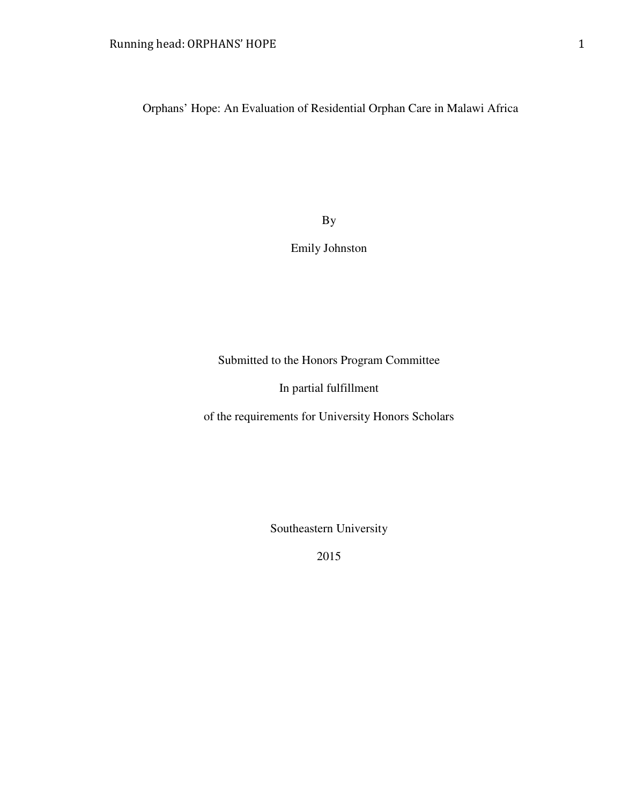Orphans' Hope: An Evaluation of Residential Orphan Care in Malawi Africa

By

Emily Johnston

Submitted to the Honors Program Committee

In partial fulfillment

of the requirements for University Honors Scholars

Southeastern University

2015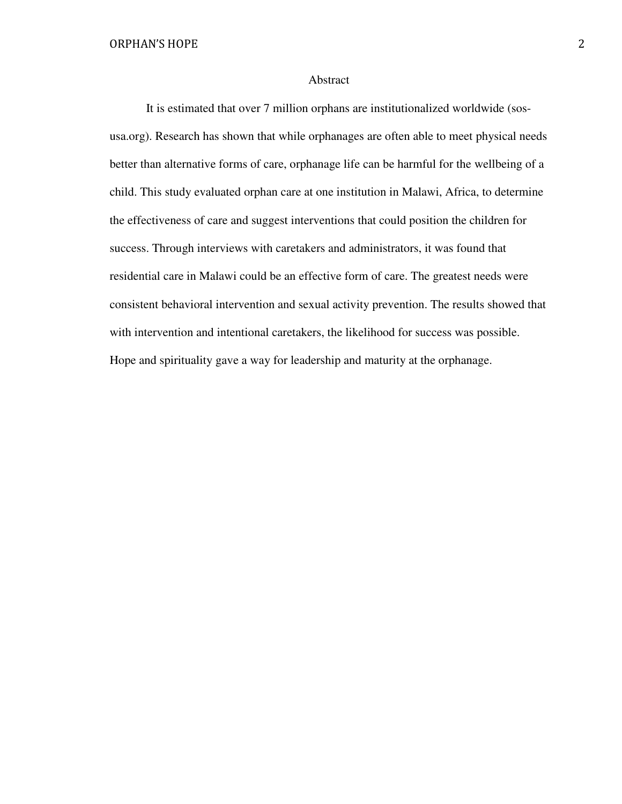#### Abstract

 It is estimated that over 7 million orphans are institutionalized worldwide (sosusa.org). Research has shown that while orphanages are often able to meet physical needs better than alternative forms of care, orphanage life can be harmful for the wellbeing of a child. This study evaluated orphan care at one institution in Malawi, Africa, to determine the effectiveness of care and suggest interventions that could position the children for success. Through interviews with caretakers and administrators, it was found that residential care in Malawi could be an effective form of care. The greatest needs were consistent behavioral intervention and sexual activity prevention. The results showed that with intervention and intentional caretakers, the likelihood for success was possible. Hope and spirituality gave a way for leadership and maturity at the orphanage.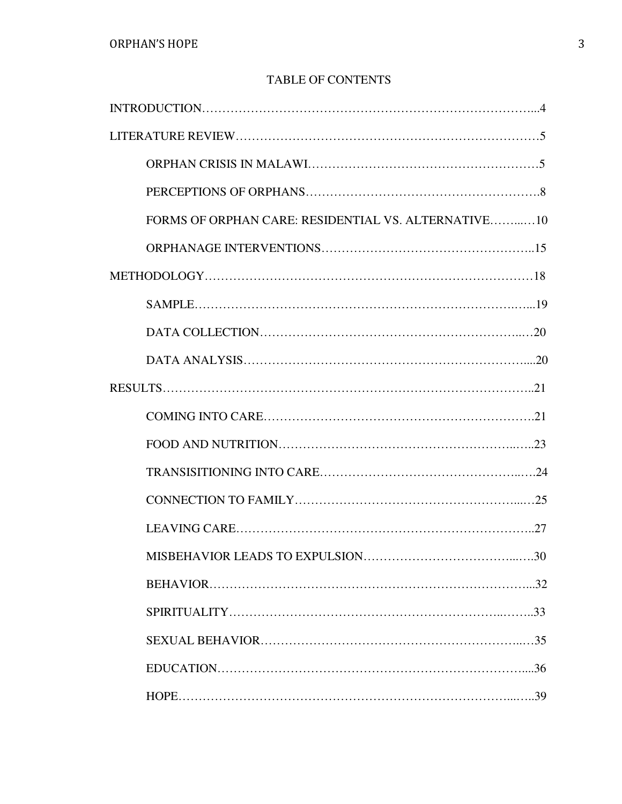# TABLE OF CONTENTS

| FORMS OF ORPHAN CARE: RESIDENTIAL VS. ALTERNATIVE10 |
|-----------------------------------------------------|
|                                                     |
|                                                     |
|                                                     |
|                                                     |
|                                                     |
|                                                     |
|                                                     |
|                                                     |
|                                                     |
|                                                     |
|                                                     |
|                                                     |
|                                                     |
|                                                     |
|                                                     |
|                                                     |
|                                                     |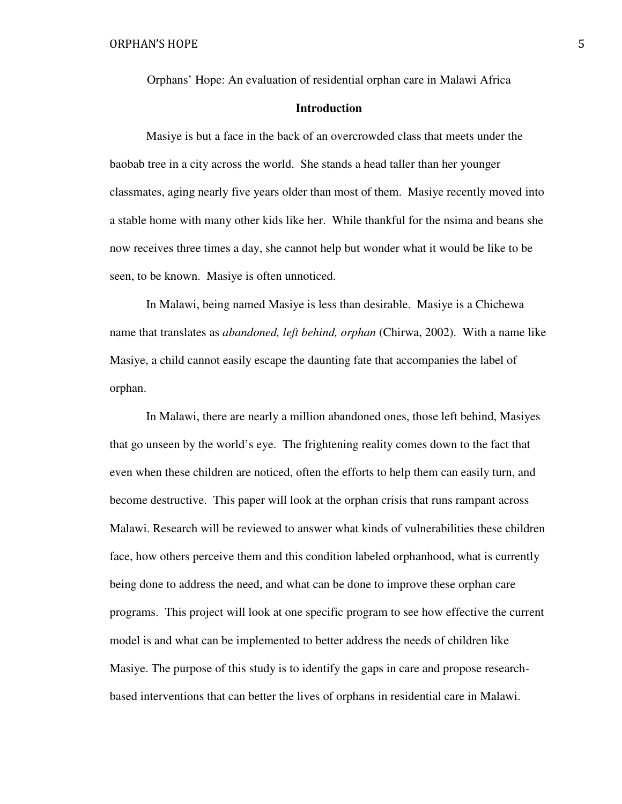Orphans' Hope: An evaluation of residential orphan care in Malawi Africa

## **Introduction**

Masiye is but a face in the back of an overcrowded class that meets under the baobab tree in a city across the world. She stands a head taller than her younger classmates, aging nearly five years older than most of them. Masiye recently moved into a stable home with many other kids like her. While thankful for the nsima and beans she now receives three times a day, she cannot help but wonder what it would be like to be seen, to be known. Masiye is often unnoticed.

 In Malawi, being named Masiye is less than desirable. Masiye is a Chichewa name that translates as *abandoned, left behind, orphan* (Chirwa, 2002). With a name like Masiye, a child cannot easily escape the daunting fate that accompanies the label of orphan.

 In Malawi, there are nearly a million abandoned ones, those left behind, Masiyes that go unseen by the world's eye. The frightening reality comes down to the fact that even when these children are noticed, often the efforts to help them can easily turn, and become destructive. This paper will look at the orphan crisis that runs rampant across Malawi. Research will be reviewed to answer what kinds of vulnerabilities these children face, how others perceive them and this condition labeled orphanhood, what is currently being done to address the need, and what can be done to improve these orphan care programs. This project will look at one specific program to see how effective the current model is and what can be implemented to better address the needs of children like Masiye. The purpose of this study is to identify the gaps in care and propose researchbased interventions that can better the lives of orphans in residential care in Malawi.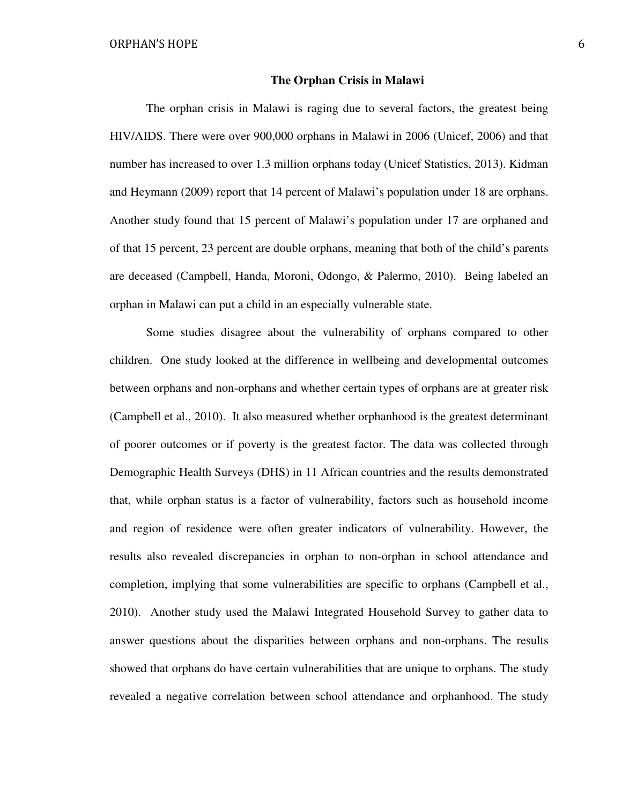#### **The Orphan Crisis in Malawi**

The orphan crisis in Malawi is raging due to several factors, the greatest being HIV/AIDS. There were over 900,000 orphans in Malawi in 2006 (Unicef, 2006) and that number has increased to over 1.3 million orphans today (Unicef Statistics, 2013). Kidman and Heymann (2009) report that 14 percent of Malawi's population under 18 are orphans. Another study found that 15 percent of Malawi's population under 17 are orphaned and of that 15 percent, 23 percent are double orphans, meaning that both of the child's parents are deceased (Campbell, Handa, Moroni, Odongo, & Palermo, 2010). Being labeled an orphan in Malawi can put a child in an especially vulnerable state.

 Some studies disagree about the vulnerability of orphans compared to other children. One study looked at the difference in wellbeing and developmental outcomes between orphans and non-orphans and whether certain types of orphans are at greater risk (Campbell et al., 2010). It also measured whether orphanhood is the greatest determinant of poorer outcomes or if poverty is the greatest factor. The data was collected through Demographic Health Surveys (DHS) in 11 African countries and the results demonstrated that, while orphan status is a factor of vulnerability, factors such as household income and region of residence were often greater indicators of vulnerability. However, the results also revealed discrepancies in orphan to non-orphan in school attendance and completion, implying that some vulnerabilities are specific to orphans (Campbell et al., 2010). Another study used the Malawi Integrated Household Survey to gather data to answer questions about the disparities between orphans and non-orphans. The results showed that orphans do have certain vulnerabilities that are unique to orphans. The study revealed a negative correlation between school attendance and orphanhood. The study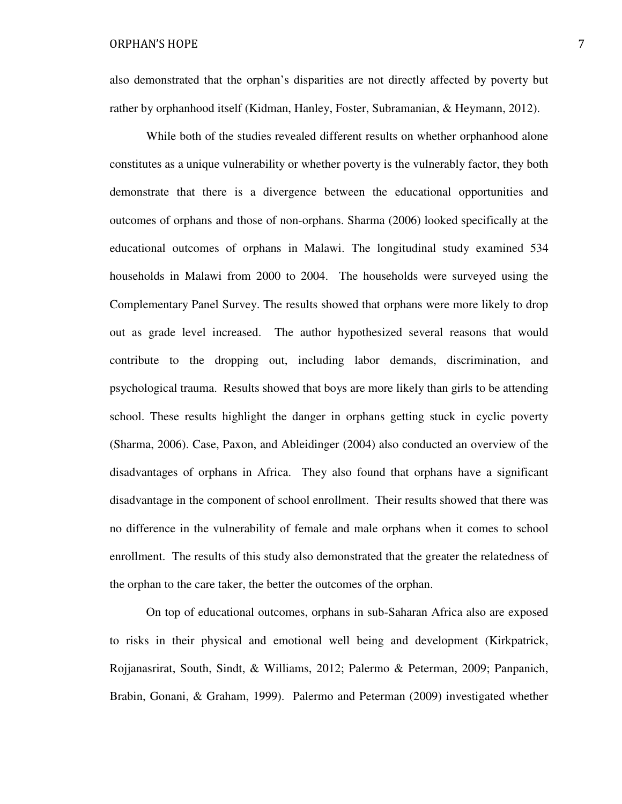also demonstrated that the orphan's disparities are not directly affected by poverty but rather by orphanhood itself (Kidman, Hanley, Foster, Subramanian, & Heymann, 2012).

 While both of the studies revealed different results on whether orphanhood alone constitutes as a unique vulnerability or whether poverty is the vulnerably factor, they both demonstrate that there is a divergence between the educational opportunities and outcomes of orphans and those of non-orphans. Sharma (2006) looked specifically at the educational outcomes of orphans in Malawi. The longitudinal study examined 534 households in Malawi from 2000 to 2004. The households were surveyed using the Complementary Panel Survey. The results showed that orphans were more likely to drop out as grade level increased. The author hypothesized several reasons that would contribute to the dropping out, including labor demands, discrimination, and psychological trauma. Results showed that boys are more likely than girls to be attending school. These results highlight the danger in orphans getting stuck in cyclic poverty (Sharma, 2006). Case, Paxon, and Ableidinger (2004) also conducted an overview of the disadvantages of orphans in Africa. They also found that orphans have a significant disadvantage in the component of school enrollment. Their results showed that there was no difference in the vulnerability of female and male orphans when it comes to school enrollment. The results of this study also demonstrated that the greater the relatedness of the orphan to the care taker, the better the outcomes of the orphan.

 On top of educational outcomes, orphans in sub-Saharan Africa also are exposed to risks in their physical and emotional well being and development (Kirkpatrick, Rojjanasrirat, South, Sindt, & Williams, 2012; Palermo & Peterman, 2009; Panpanich, Brabin, Gonani, & Graham, 1999). Palermo and Peterman (2009) investigated whether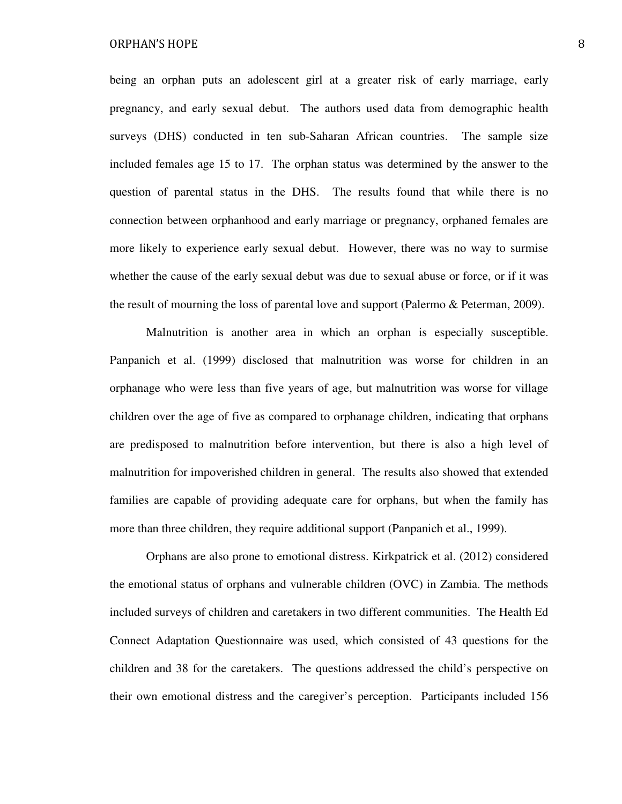being an orphan puts an adolescent girl at a greater risk of early marriage, early pregnancy, and early sexual debut. The authors used data from demographic health surveys (DHS) conducted in ten sub-Saharan African countries. The sample size included females age 15 to 17. The orphan status was determined by the answer to the question of parental status in the DHS. The results found that while there is no connection between orphanhood and early marriage or pregnancy, orphaned females are more likely to experience early sexual debut. However, there was no way to surmise whether the cause of the early sexual debut was due to sexual abuse or force, or if it was the result of mourning the loss of parental love and support (Palermo & Peterman, 2009).

 Malnutrition is another area in which an orphan is especially susceptible. Panpanich et al. (1999) disclosed that malnutrition was worse for children in an orphanage who were less than five years of age, but malnutrition was worse for village children over the age of five as compared to orphanage children, indicating that orphans are predisposed to malnutrition before intervention, but there is also a high level of malnutrition for impoverished children in general. The results also showed that extended families are capable of providing adequate care for orphans, but when the family has more than three children, they require additional support (Panpanich et al., 1999).

Orphans are also prone to emotional distress. Kirkpatrick et al. (2012) considered the emotional status of orphans and vulnerable children (OVC) in Zambia. The methods included surveys of children and caretakers in two different communities. The Health Ed Connect Adaptation Questionnaire was used, which consisted of 43 questions for the children and 38 for the caretakers. The questions addressed the child's perspective on their own emotional distress and the caregiver's perception. Participants included 156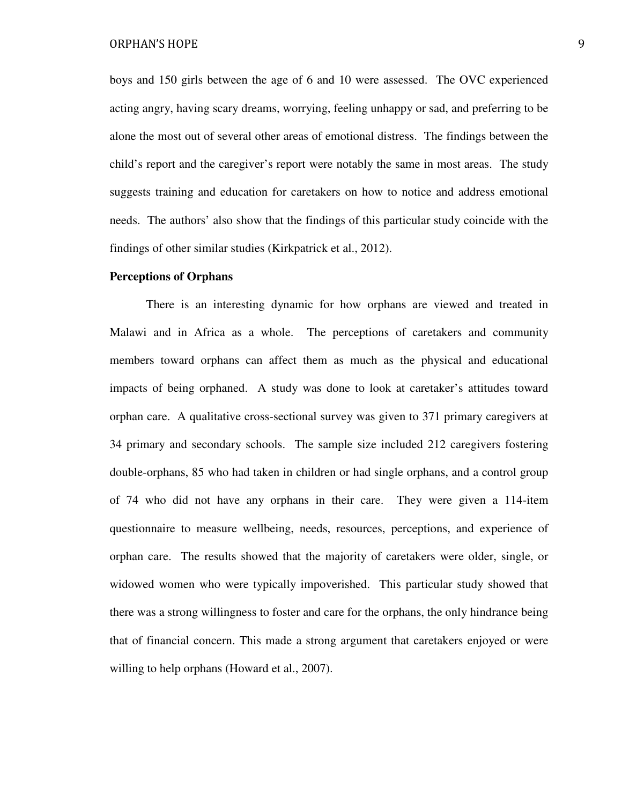boys and 150 girls between the age of 6 and 10 were assessed. The OVC experienced acting angry, having scary dreams, worrying, feeling unhappy or sad, and preferring to be alone the most out of several other areas of emotional distress. The findings between the child's report and the caregiver's report were notably the same in most areas. The study suggests training and education for caretakers on how to notice and address emotional needs. The authors' also show that the findings of this particular study coincide with the findings of other similar studies (Kirkpatrick et al., 2012).

#### **Perceptions of Orphans**

There is an interesting dynamic for how orphans are viewed and treated in Malawi and in Africa as a whole. The perceptions of caretakers and community members toward orphans can affect them as much as the physical and educational impacts of being orphaned. A study was done to look at caretaker's attitudes toward orphan care. A qualitative cross-sectional survey was given to 371 primary caregivers at 34 primary and secondary schools. The sample size included 212 caregivers fostering double-orphans, 85 who had taken in children or had single orphans, and a control group of 74 who did not have any orphans in their care. They were given a 114-item questionnaire to measure wellbeing, needs, resources, perceptions, and experience of orphan care. The results showed that the majority of caretakers were older, single, or widowed women who were typically impoverished. This particular study showed that there was a strong willingness to foster and care for the orphans, the only hindrance being that of financial concern. This made a strong argument that caretakers enjoyed or were willing to help orphans (Howard et al., 2007).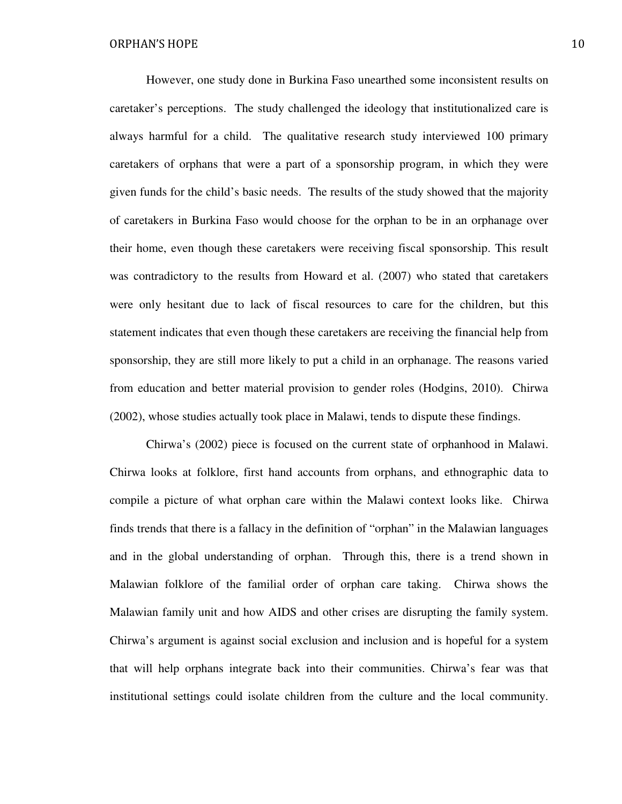However, one study done in Burkina Faso unearthed some inconsistent results on caretaker's perceptions. The study challenged the ideology that institutionalized care is always harmful for a child. The qualitative research study interviewed 100 primary caretakers of orphans that were a part of a sponsorship program, in which they were given funds for the child's basic needs. The results of the study showed that the majority of caretakers in Burkina Faso would choose for the orphan to be in an orphanage over their home, even though these caretakers were receiving fiscal sponsorship. This result was contradictory to the results from Howard et al. (2007) who stated that caretakers were only hesitant due to lack of fiscal resources to care for the children, but this statement indicates that even though these caretakers are receiving the financial help from sponsorship, they are still more likely to put a child in an orphanage. The reasons varied from education and better material provision to gender roles (Hodgins, 2010). Chirwa (2002), whose studies actually took place in Malawi, tends to dispute these findings.

 Chirwa's (2002) piece is focused on the current state of orphanhood in Malawi. Chirwa looks at folklore, first hand accounts from orphans, and ethnographic data to compile a picture of what orphan care within the Malawi context looks like. Chirwa finds trends that there is a fallacy in the definition of "orphan" in the Malawian languages and in the global understanding of orphan. Through this, there is a trend shown in Malawian folklore of the familial order of orphan care taking. Chirwa shows the Malawian family unit and how AIDS and other crises are disrupting the family system. Chirwa's argument is against social exclusion and inclusion and is hopeful for a system that will help orphans integrate back into their communities. Chirwa's fear was that institutional settings could isolate children from the culture and the local community.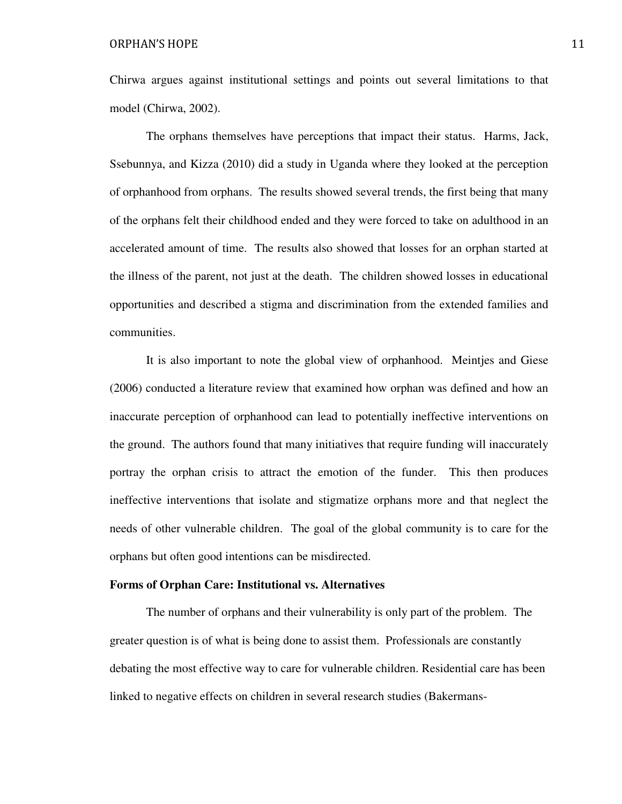Chirwa argues against institutional settings and points out several limitations to that model (Chirwa, 2002).

 The orphans themselves have perceptions that impact their status. Harms, Jack, Ssebunnya, and Kizza (2010) did a study in Uganda where they looked at the perception of orphanhood from orphans. The results showed several trends, the first being that many of the orphans felt their childhood ended and they were forced to take on adulthood in an accelerated amount of time. The results also showed that losses for an orphan started at the illness of the parent, not just at the death. The children showed losses in educational opportunities and described a stigma and discrimination from the extended families and communities.

 It is also important to note the global view of orphanhood. Meintjes and Giese (2006) conducted a literature review that examined how orphan was defined and how an inaccurate perception of orphanhood can lead to potentially ineffective interventions on the ground. The authors found that many initiatives that require funding will inaccurately portray the orphan crisis to attract the emotion of the funder. This then produces ineffective interventions that isolate and stigmatize orphans more and that neglect the needs of other vulnerable children. The goal of the global community is to care for the orphans but often good intentions can be misdirected.

#### **Forms of Orphan Care: Institutional vs. Alternatives**

The number of orphans and their vulnerability is only part of the problem. The greater question is of what is being done to assist them. Professionals are constantly debating the most effective way to care for vulnerable children. Residential care has been linked to negative effects on children in several research studies (Bakermans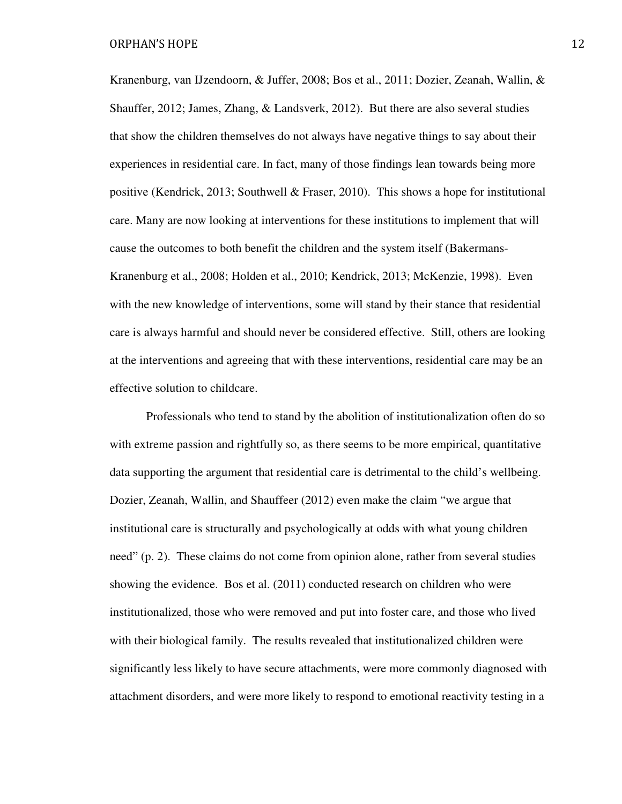Kranenburg, van IJzendoorn, & Juffer, 2008; Bos et al., 2011; Dozier, Zeanah, Wallin, & Shauffer, 2012; James, Zhang, & Landsverk, 2012). But there are also several studies that show the children themselves do not always have negative things to say about their experiences in residential care. In fact, many of those findings lean towards being more positive (Kendrick, 2013; Southwell & Fraser, 2010). This shows a hope for institutional care. Many are now looking at interventions for these institutions to implement that will cause the outcomes to both benefit the children and the system itself (Bakermans-Kranenburg et al., 2008; Holden et al., 2010; Kendrick, 2013; McKenzie, 1998). Even with the new knowledge of interventions, some will stand by their stance that residential care is always harmful and should never be considered effective. Still, others are looking at the interventions and agreeing that with these interventions, residential care may be an effective solution to childcare.

 Professionals who tend to stand by the abolition of institutionalization often do so with extreme passion and rightfully so, as there seems to be more empirical, quantitative data supporting the argument that residential care is detrimental to the child's wellbeing. Dozier, Zeanah, Wallin, and Shauffeer (2012) even make the claim "we argue that institutional care is structurally and psychologically at odds with what young children need" (p. 2). These claims do not come from opinion alone, rather from several studies showing the evidence. Bos et al. (2011) conducted research on children who were institutionalized, those who were removed and put into foster care, and those who lived with their biological family. The results revealed that institutionalized children were significantly less likely to have secure attachments, were more commonly diagnosed with attachment disorders, and were more likely to respond to emotional reactivity testing in a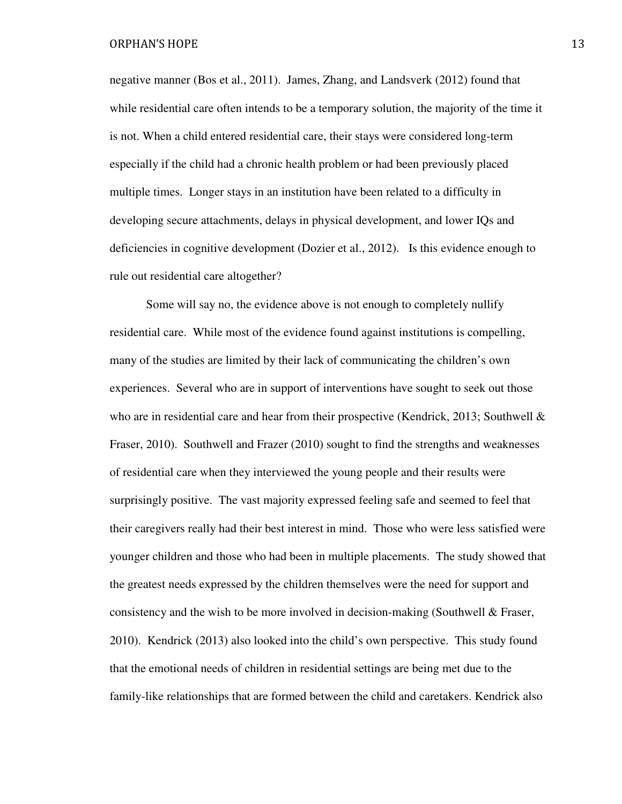negative manner (Bos et al., 2011). James, Zhang, and Landsverk (2012) found that while residential care often intends to be a temporary solution, the majority of the time it is not. When a child entered residential care, their stays were considered long-term especially if the child had a chronic health problem or had been previously placed multiple times. Longer stays in an institution have been related to a difficulty in developing secure attachments, delays in physical development, and lower IQs and deficiencies in cognitive development (Dozier et al., 2012). Is this evidence enough to rule out residential care altogether?

 Some will say no, the evidence above is not enough to completely nullify residential care. While most of the evidence found against institutions is compelling, many of the studies are limited by their lack of communicating the children's own experiences. Several who are in support of interventions have sought to seek out those who are in residential care and hear from their prospective (Kendrick, 2013; Southwell & Fraser, 2010). Southwell and Frazer (2010) sought to find the strengths and weaknesses of residential care when they interviewed the young people and their results were surprisingly positive. The vast majority expressed feeling safe and seemed to feel that their caregivers really had their best interest in mind. Those who were less satisfied were younger children and those who had been in multiple placements. The study showed that the greatest needs expressed by the children themselves were the need for support and consistency and the wish to be more involved in decision-making (Southwell  $\&$  Fraser, 2010). Kendrick (2013) also looked into the child's own perspective. This study found that the emotional needs of children in residential settings are being met due to the family-like relationships that are formed between the child and caretakers. Kendrick also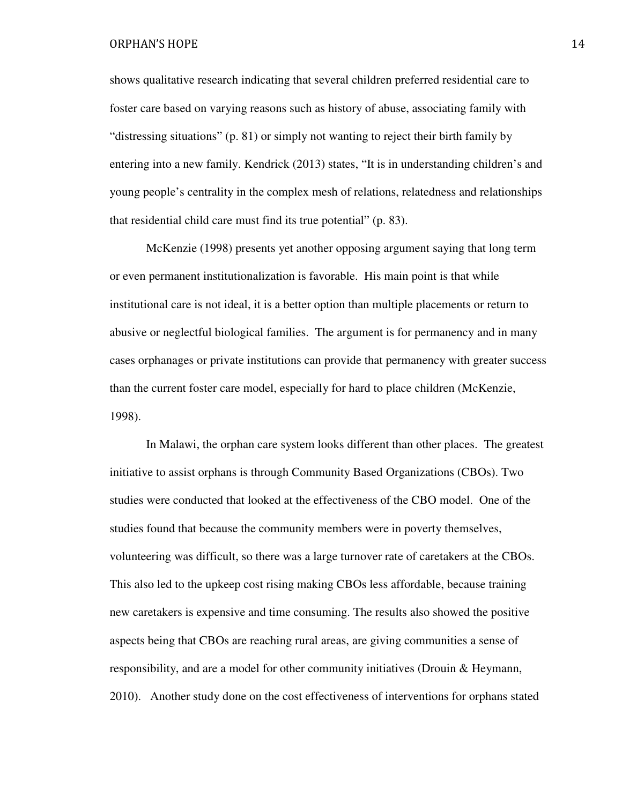shows qualitative research indicating that several children preferred residential care to foster care based on varying reasons such as history of abuse, associating family with "distressing situations" (p. 81) or simply not wanting to reject their birth family by entering into a new family. Kendrick (2013) states, "It is in understanding children's and young people's centrality in the complex mesh of relations, relatedness and relationships that residential child care must find its true potential" (p. 83).

McKenzie (1998) presents yet another opposing argument saying that long term or even permanent institutionalization is favorable. His main point is that while institutional care is not ideal, it is a better option than multiple placements or return to abusive or neglectful biological families. The argument is for permanency and in many cases orphanages or private institutions can provide that permanency with greater success than the current foster care model, especially for hard to place children (McKenzie, 1998).

In Malawi, the orphan care system looks different than other places. The greatest initiative to assist orphans is through Community Based Organizations (CBOs). Two studies were conducted that looked at the effectiveness of the CBO model. One of the studies found that because the community members were in poverty themselves, volunteering was difficult, so there was a large turnover rate of caretakers at the CBOs. This also led to the upkeep cost rising making CBOs less affordable, because training new caretakers is expensive and time consuming. The results also showed the positive aspects being that CBOs are reaching rural areas, are giving communities a sense of responsibility, and are a model for other community initiatives (Drouin & Heymann, 2010). Another study done on the cost effectiveness of interventions for orphans stated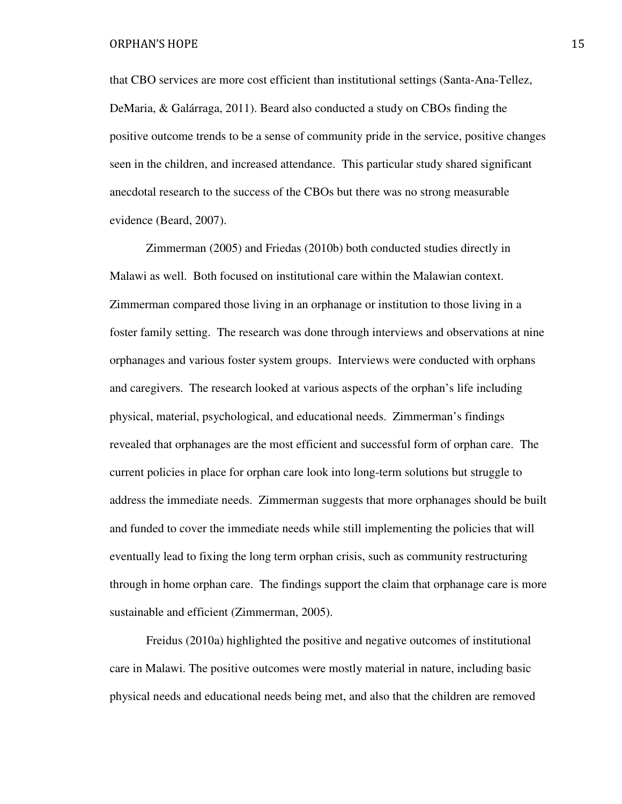that CBO services are more cost efficient than institutional settings (Santa-Ana-Tellez, DeMaria, & Galárraga, 2011). Beard also conducted a study on CBOs finding the positive outcome trends to be a sense of community pride in the service, positive changes seen in the children, and increased attendance. This particular study shared significant anecdotal research to the success of the CBOs but there was no strong measurable evidence (Beard, 2007).

Zimmerman (2005) and Friedas (2010b) both conducted studies directly in Malawi as well. Both focused on institutional care within the Malawian context. Zimmerman compared those living in an orphanage or institution to those living in a foster family setting. The research was done through interviews and observations at nine orphanages and various foster system groups. Interviews were conducted with orphans and caregivers. The research looked at various aspects of the orphan's life including physical, material, psychological, and educational needs. Zimmerman's findings revealed that orphanages are the most efficient and successful form of orphan care. The current policies in place for orphan care look into long-term solutions but struggle to address the immediate needs. Zimmerman suggests that more orphanages should be built and funded to cover the immediate needs while still implementing the policies that will eventually lead to fixing the long term orphan crisis, such as community restructuring through in home orphan care. The findings support the claim that orphanage care is more sustainable and efficient (Zimmerman, 2005).

Freidus (2010a) highlighted the positive and negative outcomes of institutional care in Malawi. The positive outcomes were mostly material in nature, including basic physical needs and educational needs being met, and also that the children are removed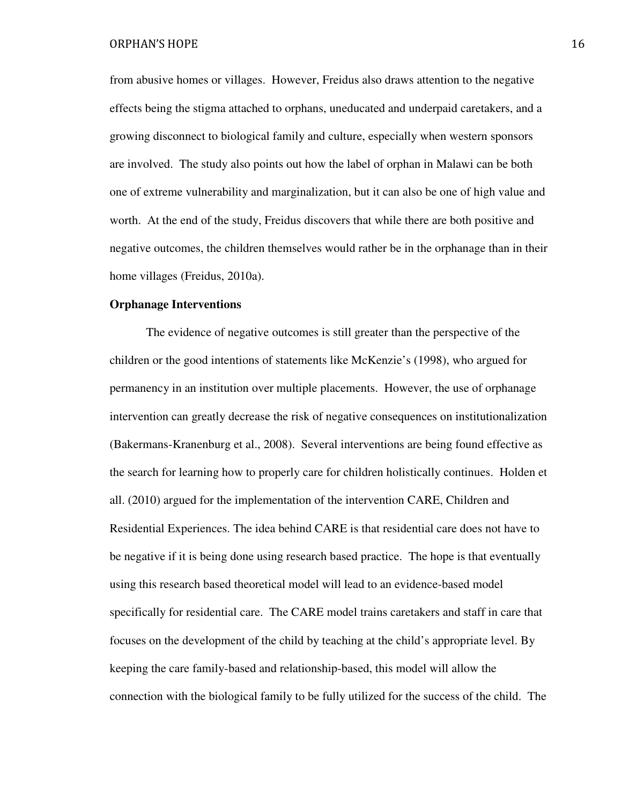from abusive homes or villages. However, Freidus also draws attention to the negative effects being the stigma attached to orphans, uneducated and underpaid caretakers, and a growing disconnect to biological family and culture, especially when western sponsors are involved. The study also points out how the label of orphan in Malawi can be both one of extreme vulnerability and marginalization, but it can also be one of high value and worth. At the end of the study, Freidus discovers that while there are both positive and negative outcomes, the children themselves would rather be in the orphanage than in their home villages (Freidus, 2010a).

#### **Orphanage Interventions**

The evidence of negative outcomes is still greater than the perspective of the children or the good intentions of statements like McKenzie's (1998), who argued for permanency in an institution over multiple placements. However, the use of orphanage intervention can greatly decrease the risk of negative consequences on institutionalization (Bakermans-Kranenburg et al., 2008). Several interventions are being found effective as the search for learning how to properly care for children holistically continues. Holden et all. (2010) argued for the implementation of the intervention CARE, Children and Residential Experiences. The idea behind CARE is that residential care does not have to be negative if it is being done using research based practice. The hope is that eventually using this research based theoretical model will lead to an evidence-based model specifically for residential care. The CARE model trains caretakers and staff in care that focuses on the development of the child by teaching at the child's appropriate level. By keeping the care family-based and relationship-based, this model will allow the connection with the biological family to be fully utilized for the success of the child. The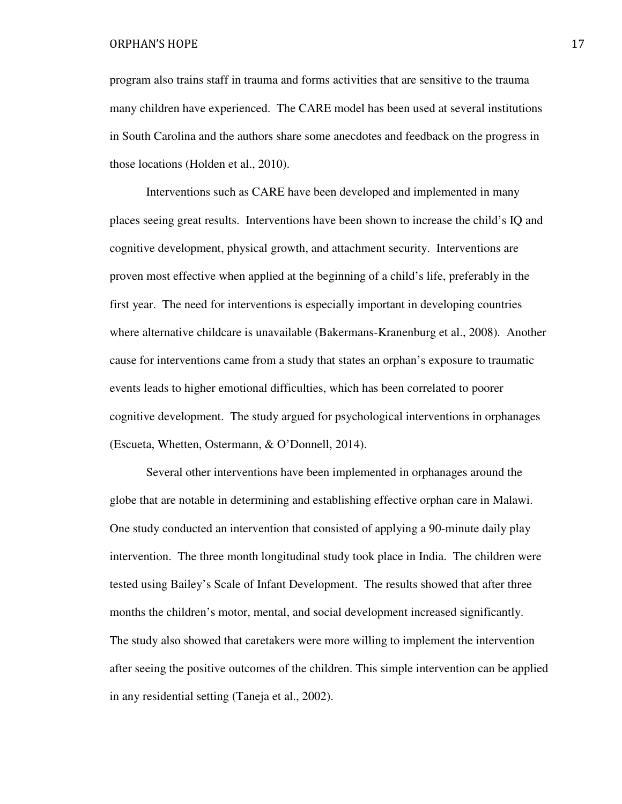program also trains staff in trauma and forms activities that are sensitive to the trauma many children have experienced. The CARE model has been used at several institutions in South Carolina and the authors share some anecdotes and feedback on the progress in those locations (Holden et al., 2010).

Interventions such as CARE have been developed and implemented in many places seeing great results. Interventions have been shown to increase the child's IQ and cognitive development, physical growth, and attachment security. Interventions are proven most effective when applied at the beginning of a child's life, preferably in the first year. The need for interventions is especially important in developing countries where alternative childcare is unavailable (Bakermans-Kranenburg et al., 2008). Another cause for interventions came from a study that states an orphan's exposure to traumatic events leads to higher emotional difficulties, which has been correlated to poorer cognitive development. The study argued for psychological interventions in orphanages (Escueta, Whetten, Ostermann, & O'Donnell, 2014).

 Several other interventions have been implemented in orphanages around the globe that are notable in determining and establishing effective orphan care in Malawi. One study conducted an intervention that consisted of applying a 90-minute daily play intervention. The three month longitudinal study took place in India. The children were tested using Bailey's Scale of Infant Development. The results showed that after three months the children's motor, mental, and social development increased significantly. The study also showed that caretakers were more willing to implement the intervention after seeing the positive outcomes of the children. This simple intervention can be applied in any residential setting (Taneja et al., 2002).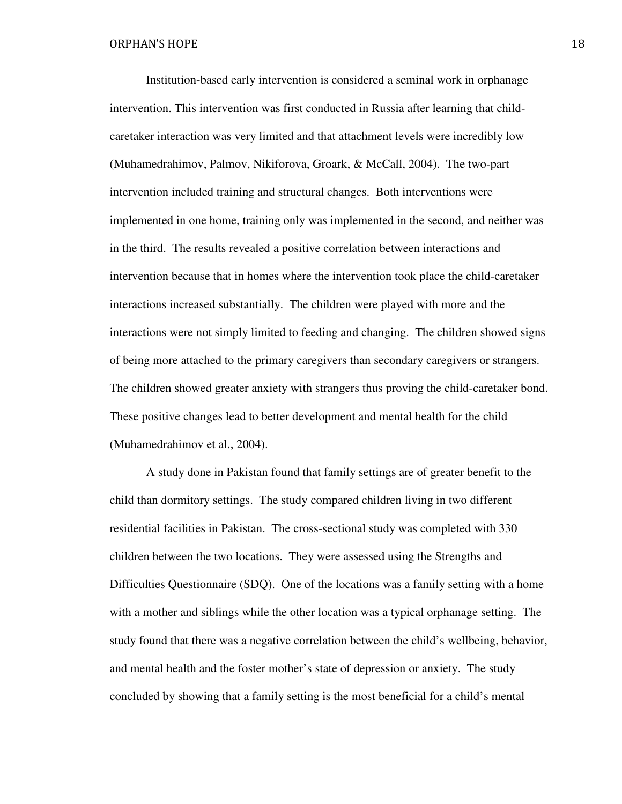Institution-based early intervention is considered a seminal work in orphanage intervention. This intervention was first conducted in Russia after learning that childcaretaker interaction was very limited and that attachment levels were incredibly low (Muhamedrahimov, Palmov, Nikiforova, Groark, & McCall, 2004). The two-part intervention included training and structural changes. Both interventions were implemented in one home, training only was implemented in the second, and neither was in the third. The results revealed a positive correlation between interactions and intervention because that in homes where the intervention took place the child-caretaker interactions increased substantially. The children were played with more and the interactions were not simply limited to feeding and changing. The children showed signs of being more attached to the primary caregivers than secondary caregivers or strangers. The children showed greater anxiety with strangers thus proving the child-caretaker bond. These positive changes lead to better development and mental health for the child (Muhamedrahimov et al., 2004).

 A study done in Pakistan found that family settings are of greater benefit to the child than dormitory settings. The study compared children living in two different residential facilities in Pakistan. The cross-sectional study was completed with 330 children between the two locations. They were assessed using the Strengths and Difficulties Questionnaire (SDQ). One of the locations was a family setting with a home with a mother and siblings while the other location was a typical orphanage setting. The study found that there was a negative correlation between the child's wellbeing, behavior, and mental health and the foster mother's state of depression or anxiety. The study concluded by showing that a family setting is the most beneficial for a child's mental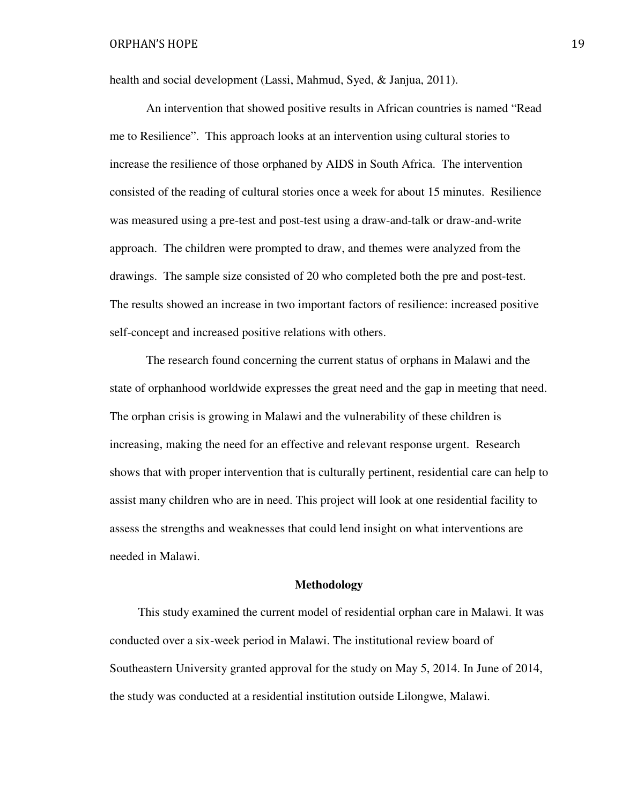health and social development (Lassi, Mahmud, Syed, & Janjua, 2011).

 An intervention that showed positive results in African countries is named "Read me to Resilience". This approach looks at an intervention using cultural stories to increase the resilience of those orphaned by AIDS in South Africa. The intervention consisted of the reading of cultural stories once a week for about 15 minutes. Resilience was measured using a pre-test and post-test using a draw-and-talk or draw-and-write approach. The children were prompted to draw, and themes were analyzed from the drawings. The sample size consisted of 20 who completed both the pre and post-test. The results showed an increase in two important factors of resilience: increased positive self-concept and increased positive relations with others.

 The research found concerning the current status of orphans in Malawi and the state of orphanhood worldwide expresses the great need and the gap in meeting that need. The orphan crisis is growing in Malawi and the vulnerability of these children is increasing, making the need for an effective and relevant response urgent. Research shows that with proper intervention that is culturally pertinent, residential care can help to assist many children who are in need. This project will look at one residential facility to assess the strengths and weaknesses that could lend insight on what interventions are needed in Malawi.

#### **Methodology**

 This study examined the current model of residential orphan care in Malawi. It was conducted over a six-week period in Malawi. The institutional review board of Southeastern University granted approval for the study on May 5, 2014. In June of 2014, the study was conducted at a residential institution outside Lilongwe, Malawi.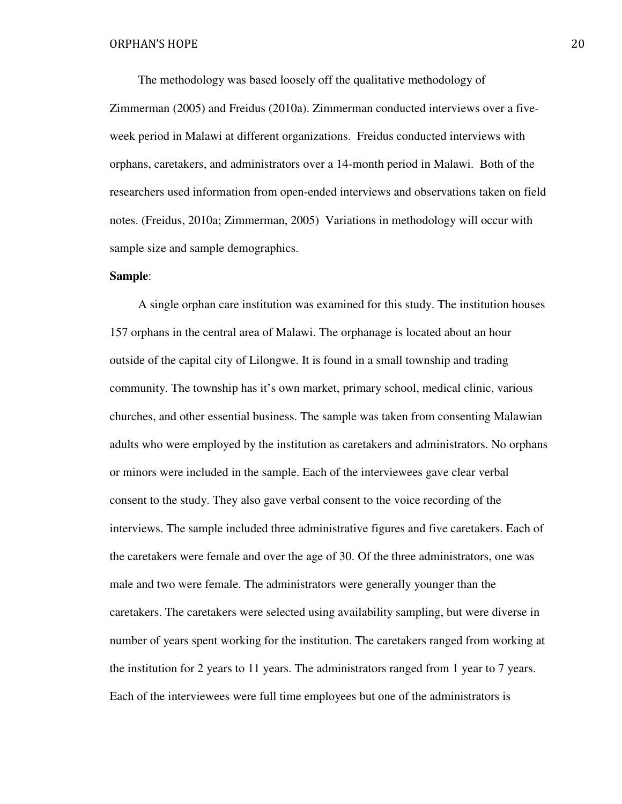The methodology was based loosely off the qualitative methodology of

Zimmerman (2005) and Freidus (2010a). Zimmerman conducted interviews over a fiveweek period in Malawi at different organizations. Freidus conducted interviews with orphans, caretakers, and administrators over a 14-month period in Malawi. Both of the researchers used information from open-ended interviews and observations taken on field notes. (Freidus, 2010a; Zimmerman, 2005) Variations in methodology will occur with sample size and sample demographics.

# **Sample**:

 A single orphan care institution was examined for this study. The institution houses 157 orphans in the central area of Malawi. The orphanage is located about an hour outside of the capital city of Lilongwe. It is found in a small township and trading community. The township has it's own market, primary school, medical clinic, various churches, and other essential business. The sample was taken from consenting Malawian adults who were employed by the institution as caretakers and administrators. No orphans or minors were included in the sample. Each of the interviewees gave clear verbal consent to the study. They also gave verbal consent to the voice recording of the interviews. The sample included three administrative figures and five caretakers. Each of the caretakers were female and over the age of 30. Of the three administrators, one was male and two were female. The administrators were generally younger than the caretakers. The caretakers were selected using availability sampling, but were diverse in number of years spent working for the institution. The caretakers ranged from working at the institution for 2 years to 11 years. The administrators ranged from 1 year to 7 years. Each of the interviewees were full time employees but one of the administrators is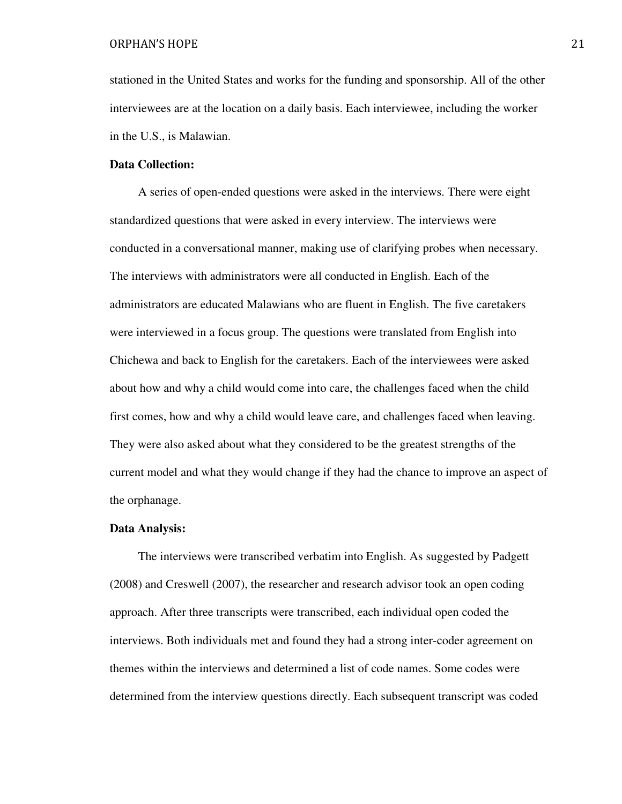stationed in the United States and works for the funding and sponsorship. All of the other interviewees are at the location on a daily basis. Each interviewee, including the worker in the U.S., is Malawian.

# **Data Collection:**

 A series of open-ended questions were asked in the interviews. There were eight standardized questions that were asked in every interview. The interviews were conducted in a conversational manner, making use of clarifying probes when necessary. The interviews with administrators were all conducted in English. Each of the administrators are educated Malawians who are fluent in English. The five caretakers were interviewed in a focus group. The questions were translated from English into Chichewa and back to English for the caretakers. Each of the interviewees were asked about how and why a child would come into care, the challenges faced when the child first comes, how and why a child would leave care, and challenges faced when leaving. They were also asked about what they considered to be the greatest strengths of the current model and what they would change if they had the chance to improve an aspect of the orphanage.

#### **Data Analysis:**

 The interviews were transcribed verbatim into English. As suggested by Padgett (2008) and Creswell (2007), the researcher and research advisor took an open coding approach. After three transcripts were transcribed, each individual open coded the interviews. Both individuals met and found they had a strong inter-coder agreement on themes within the interviews and determined a list of code names. Some codes were determined from the interview questions directly. Each subsequent transcript was coded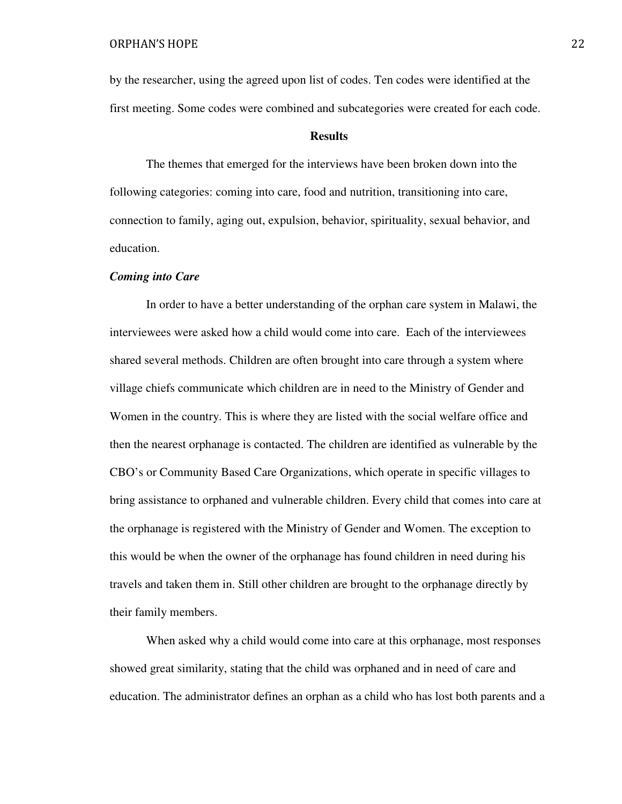by the researcher, using the agreed upon list of codes. Ten codes were identified at the first meeting. Some codes were combined and subcategories were created for each code.

# **Results**

The themes that emerged for the interviews have been broken down into the following categories: coming into care, food and nutrition, transitioning into care, connection to family, aging out, expulsion, behavior, spirituality, sexual behavior, and education.

# *Coming into Care*

 In order to have a better understanding of the orphan care system in Malawi, the interviewees were asked how a child would come into care. Each of the interviewees shared several methods. Children are often brought into care through a system where village chiefs communicate which children are in need to the Ministry of Gender and Women in the country. This is where they are listed with the social welfare office and then the nearest orphanage is contacted. The children are identified as vulnerable by the CBO's or Community Based Care Organizations, which operate in specific villages to bring assistance to orphaned and vulnerable children. Every child that comes into care at the orphanage is registered with the Ministry of Gender and Women. The exception to this would be when the owner of the orphanage has found children in need during his travels and taken them in. Still other children are brought to the orphanage directly by their family members.

When asked why a child would come into care at this orphanage, most responses showed great similarity, stating that the child was orphaned and in need of care and education. The administrator defines an orphan as a child who has lost both parents and a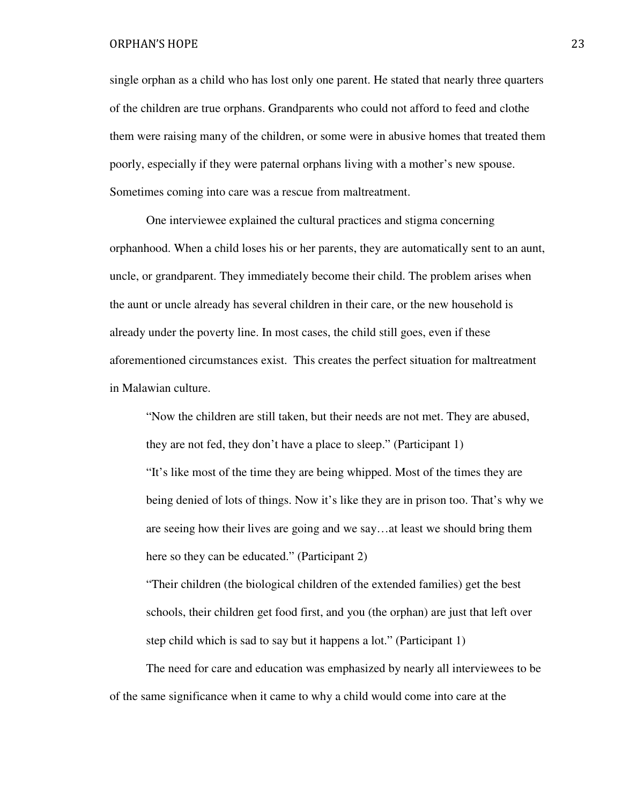single orphan as a child who has lost only one parent. He stated that nearly three quarters of the children are true orphans. Grandparents who could not afford to feed and clothe them were raising many of the children, or some were in abusive homes that treated them poorly, especially if they were paternal orphans living with a mother's new spouse. Sometimes coming into care was a rescue from maltreatment.

 One interviewee explained the cultural practices and stigma concerning orphanhood. When a child loses his or her parents, they are automatically sent to an aunt, uncle, or grandparent. They immediately become their child. The problem arises when the aunt or uncle already has several children in their care, or the new household is already under the poverty line. In most cases, the child still goes, even if these aforementioned circumstances exist. This creates the perfect situation for maltreatment in Malawian culture.

 "Now the children are still taken, but their needs are not met. They are abused, they are not fed, they don't have a place to sleep." (Participant 1) "It's like most of the time they are being whipped. Most of the times they are being denied of lots of things. Now it's like they are in prison too. That's why we are seeing how their lives are going and we say…at least we should bring them here so they can be educated." (Participant 2)

 "Their children (the biological children of the extended families) get the best schools, their children get food first, and you (the orphan) are just that left over step child which is sad to say but it happens a lot." (Participant 1)

 The need for care and education was emphasized by nearly all interviewees to be of the same significance when it came to why a child would come into care at the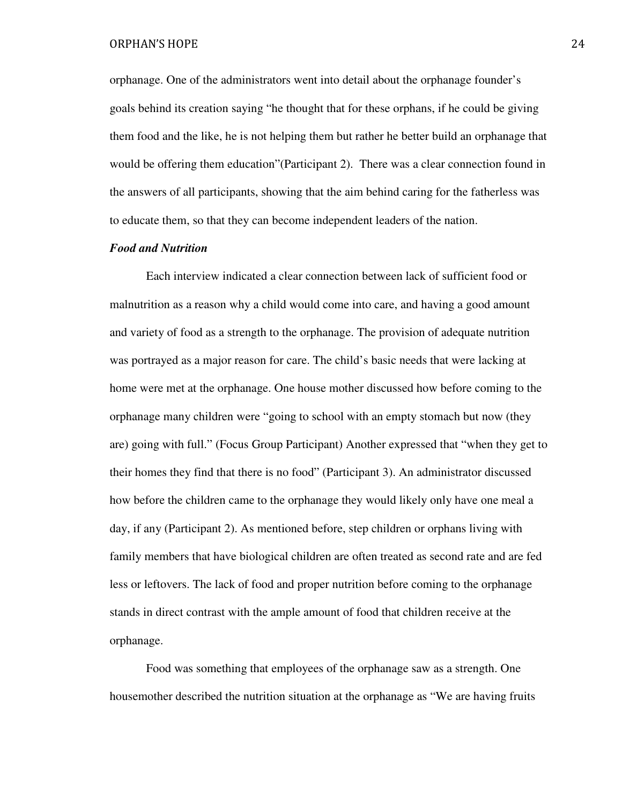orphanage. One of the administrators went into detail about the orphanage founder's goals behind its creation saying "he thought that for these orphans, if he could be giving them food and the like, he is not helping them but rather he better build an orphanage that would be offering them education"(Participant 2). There was a clear connection found in the answers of all participants, showing that the aim behind caring for the fatherless was to educate them, so that they can become independent leaders of the nation.

# *Food and Nutrition*

 Each interview indicated a clear connection between lack of sufficient food or malnutrition as a reason why a child would come into care, and having a good amount and variety of food as a strength to the orphanage. The provision of adequate nutrition was portrayed as a major reason for care. The child's basic needs that were lacking at home were met at the orphanage. One house mother discussed how before coming to the orphanage many children were "going to school with an empty stomach but now (they are) going with full." (Focus Group Participant) Another expressed that "when they get to their homes they find that there is no food" (Participant 3). An administrator discussed how before the children came to the orphanage they would likely only have one meal a day, if any (Participant 2). As mentioned before, step children or orphans living with family members that have biological children are often treated as second rate and are fed less or leftovers. The lack of food and proper nutrition before coming to the orphanage stands in direct contrast with the ample amount of food that children receive at the orphanage.

 Food was something that employees of the orphanage saw as a strength. One housemother described the nutrition situation at the orphanage as "We are having fruits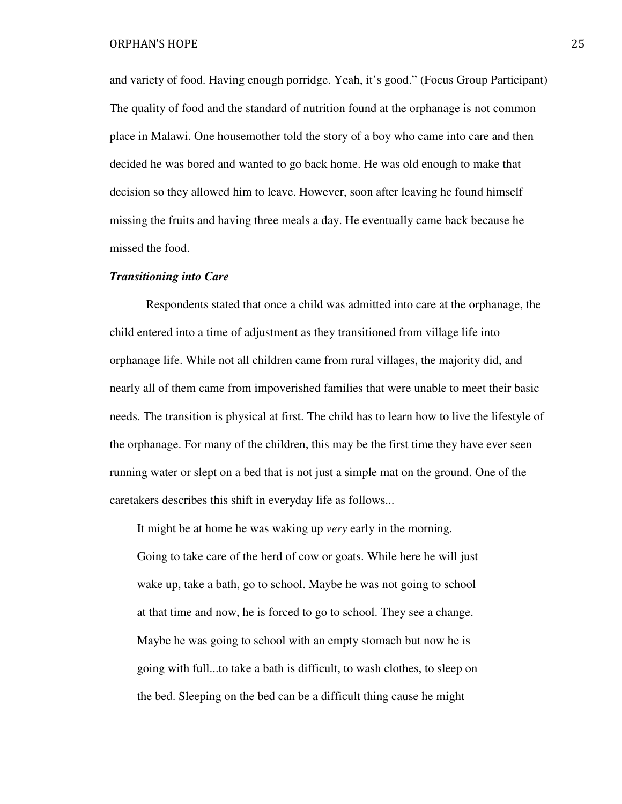and variety of food. Having enough porridge. Yeah, it's good." (Focus Group Participant) The quality of food and the standard of nutrition found at the orphanage is not common place in Malawi. One housemother told the story of a boy who came into care and then decided he was bored and wanted to go back home. He was old enough to make that decision so they allowed him to leave. However, soon after leaving he found himself missing the fruits and having three meals a day. He eventually came back because he missed the food.

# *Transitioning into Care*

 Respondents stated that once a child was admitted into care at the orphanage, the child entered into a time of adjustment as they transitioned from village life into orphanage life. While not all children came from rural villages, the majority did, and nearly all of them came from impoverished families that were unable to meet their basic needs. The transition is physical at first. The child has to learn how to live the lifestyle of the orphanage. For many of the children, this may be the first time they have ever seen running water or slept on a bed that is not just a simple mat on the ground. One of the caretakers describes this shift in everyday life as follows...

It might be at home he was waking up *very* early in the morning.

Going to take care of the herd of cow or goats. While here he will just wake up, take a bath, go to school. Maybe he was not going to school at that time and now, he is forced to go to school. They see a change. Maybe he was going to school with an empty stomach but now he is going with full...to take a bath is difficult, to wash clothes, to sleep on the bed. Sleeping on the bed can be a difficult thing cause he might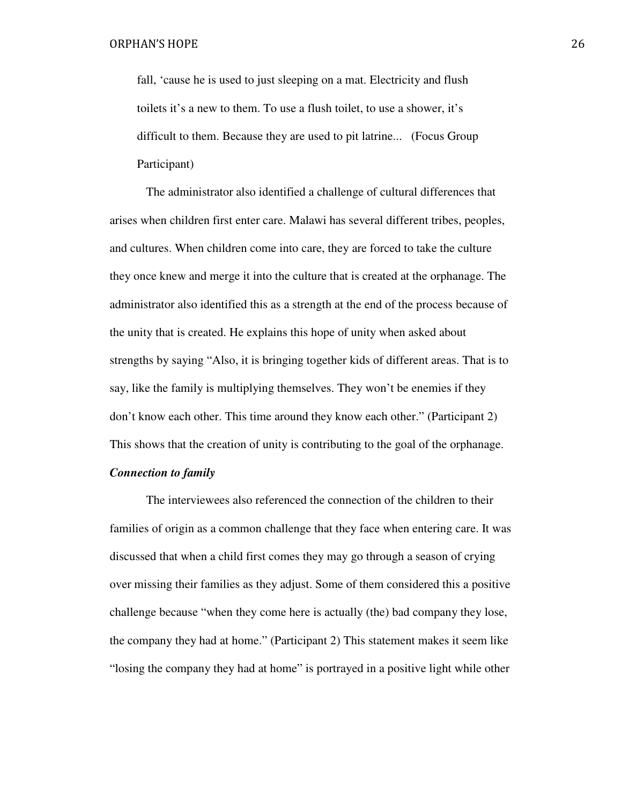fall, 'cause he is used to just sleeping on a mat. Electricity and flush toilets it's a new to them. To use a flush toilet, to use a shower, it's difficult to them. Because they are used to pit latrine... (Focus Group Participant)

 The administrator also identified a challenge of cultural differences that arises when children first enter care. Malawi has several different tribes, peoples, and cultures. When children come into care, they are forced to take the culture they once knew and merge it into the culture that is created at the orphanage. The administrator also identified this as a strength at the end of the process because of the unity that is created. He explains this hope of unity when asked about strengths by saying "Also, it is bringing together kids of different areas. That is to say, like the family is multiplying themselves. They won't be enemies if they don't know each other. This time around they know each other." (Participant 2) This shows that the creation of unity is contributing to the goal of the orphanage.

# *Connection to family*

 The interviewees also referenced the connection of the children to their families of origin as a common challenge that they face when entering care. It was discussed that when a child first comes they may go through a season of crying over missing their families as they adjust. Some of them considered this a positive challenge because "when they come here is actually (the) bad company they lose, the company they had at home." (Participant 2) This statement makes it seem like "losing the company they had at home" is portrayed in a positive light while other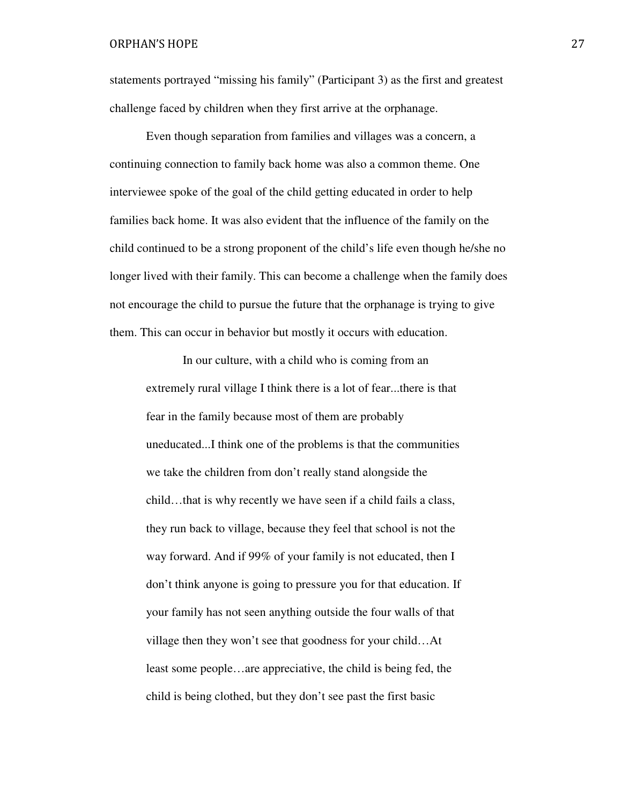statements portrayed "missing his family" (Participant 3) as the first and greatest challenge faced by children when they first arrive at the orphanage.

 Even though separation from families and villages was a concern, a continuing connection to family back home was also a common theme. One interviewee spoke of the goal of the child getting educated in order to help families back home. It was also evident that the influence of the family on the child continued to be a strong proponent of the child's life even though he/she no longer lived with their family. This can become a challenge when the family does not encourage the child to pursue the future that the orphanage is trying to give them. This can occur in behavior but mostly it occurs with education.

 In our culture, with a child who is coming from an extremely rural village I think there is a lot of fear...there is that fear in the family because most of them are probably uneducated...I think one of the problems is that the communities we take the children from don't really stand alongside the child…that is why recently we have seen if a child fails a class, they run back to village, because they feel that school is not the way forward. And if 99% of your family is not educated, then I don't think anyone is going to pressure you for that education. If your family has not seen anything outside the four walls of that village then they won't see that goodness for your child…At least some people…are appreciative, the child is being fed, the child is being clothed, but they don't see past the first basic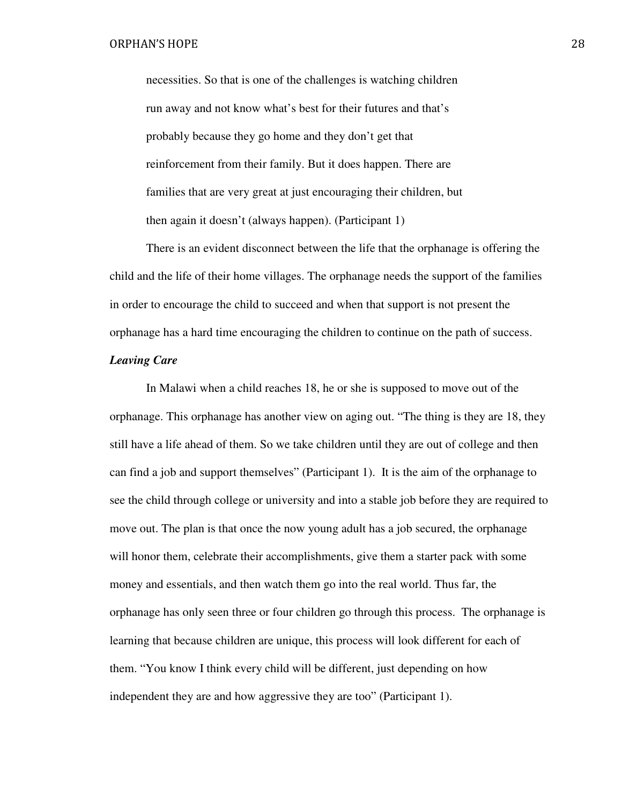necessities. So that is one of the challenges is watching children run away and not know what's best for their futures and that's probably because they go home and they don't get that reinforcement from their family. But it does happen. There are families that are very great at just encouraging their children, but then again it doesn't (always happen). (Participant 1)

 There is an evident disconnect between the life that the orphanage is offering the child and the life of their home villages. The orphanage needs the support of the families in order to encourage the child to succeed and when that support is not present the orphanage has a hard time encouraging the children to continue on the path of success.

# *Leaving Care*

In Malawi when a child reaches 18, he or she is supposed to move out of the orphanage. This orphanage has another view on aging out. "The thing is they are 18, they still have a life ahead of them. So we take children until they are out of college and then can find a job and support themselves" (Participant 1). It is the aim of the orphanage to see the child through college or university and into a stable job before they are required to move out. The plan is that once the now young adult has a job secured, the orphanage will honor them, celebrate their accomplishments, give them a starter pack with some money and essentials, and then watch them go into the real world. Thus far, the orphanage has only seen three or four children go through this process. The orphanage is learning that because children are unique, this process will look different for each of them. "You know I think every child will be different, just depending on how independent they are and how aggressive they are too" (Participant 1).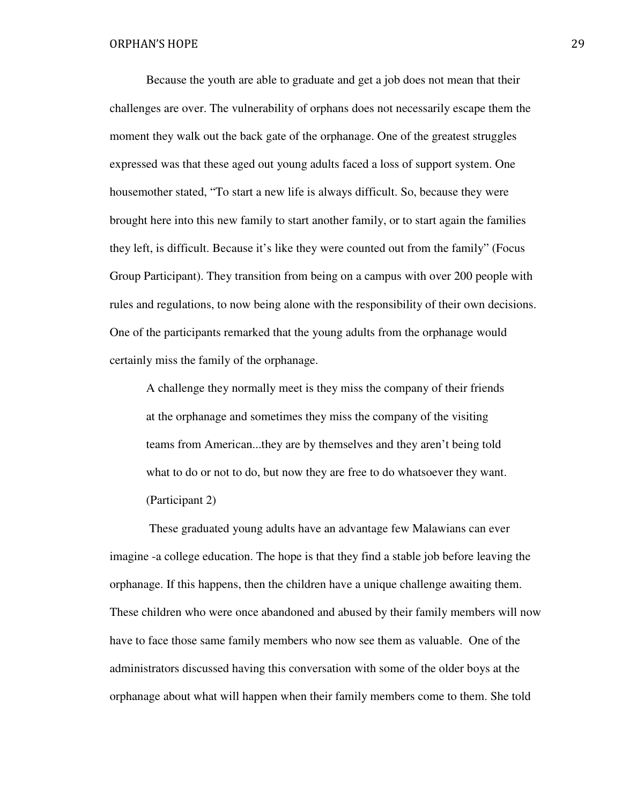Because the youth are able to graduate and get a job does not mean that their challenges are over. The vulnerability of orphans does not necessarily escape them the moment they walk out the back gate of the orphanage. One of the greatest struggles expressed was that these aged out young adults faced a loss of support system. One housemother stated, "To start a new life is always difficult. So, because they were brought here into this new family to start another family, or to start again the families they left, is difficult. Because it's like they were counted out from the family" (Focus Group Participant). They transition from being on a campus with over 200 people with rules and regulations, to now being alone with the responsibility of their own decisions. One of the participants remarked that the young adults from the orphanage would certainly miss the family of the orphanage.

A challenge they normally meet is they miss the company of their friends at the orphanage and sometimes they miss the company of the visiting teams from American...they are by themselves and they aren't being told what to do or not to do, but now they are free to do whatsoever they want. (Participant 2)

 These graduated young adults have an advantage few Malawians can ever imagine -a college education. The hope is that they find a stable job before leaving the orphanage. If this happens, then the children have a unique challenge awaiting them. These children who were once abandoned and abused by their family members will now have to face those same family members who now see them as valuable. One of the administrators discussed having this conversation with some of the older boys at the orphanage about what will happen when their family members come to them. She told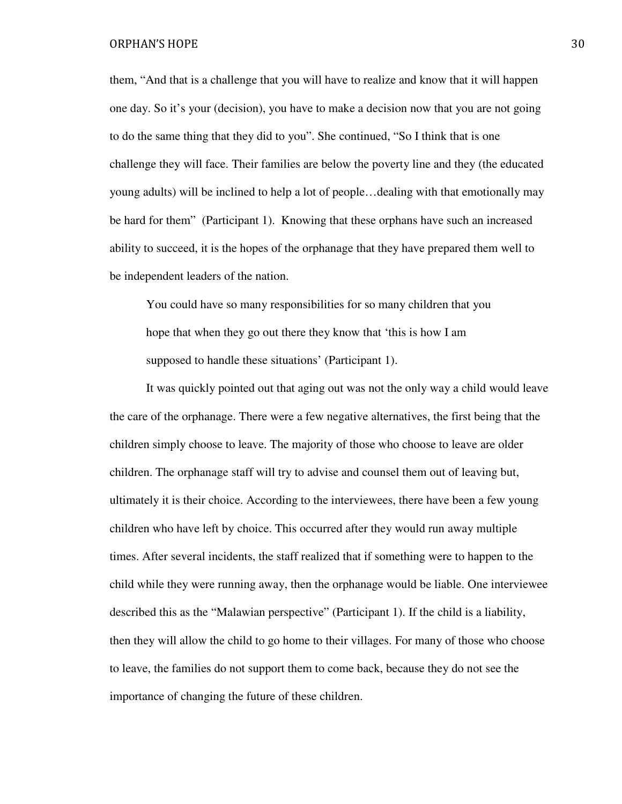them, "And that is a challenge that you will have to realize and know that it will happen one day. So it's your (decision), you have to make a decision now that you are not going to do the same thing that they did to you". She continued, "So I think that is one challenge they will face. Their families are below the poverty line and they (the educated young adults) will be inclined to help a lot of people…dealing with that emotionally may be hard for them" (Participant 1). Knowing that these orphans have such an increased ability to succeed, it is the hopes of the orphanage that they have prepared them well to be independent leaders of the nation.

You could have so many responsibilities for so many children that you hope that when they go out there they know that 'this is how I am supposed to handle these situations' (Participant 1).

 It was quickly pointed out that aging out was not the only way a child would leave the care of the orphanage. There were a few negative alternatives, the first being that the children simply choose to leave. The majority of those who choose to leave are older children. The orphanage staff will try to advise and counsel them out of leaving but, ultimately it is their choice. According to the interviewees, there have been a few young children who have left by choice. This occurred after they would run away multiple times. After several incidents, the staff realized that if something were to happen to the child while they were running away, then the orphanage would be liable. One interviewee described this as the "Malawian perspective" (Participant 1). If the child is a liability, then they will allow the child to go home to their villages. For many of those who choose to leave, the families do not support them to come back, because they do not see the importance of changing the future of these children.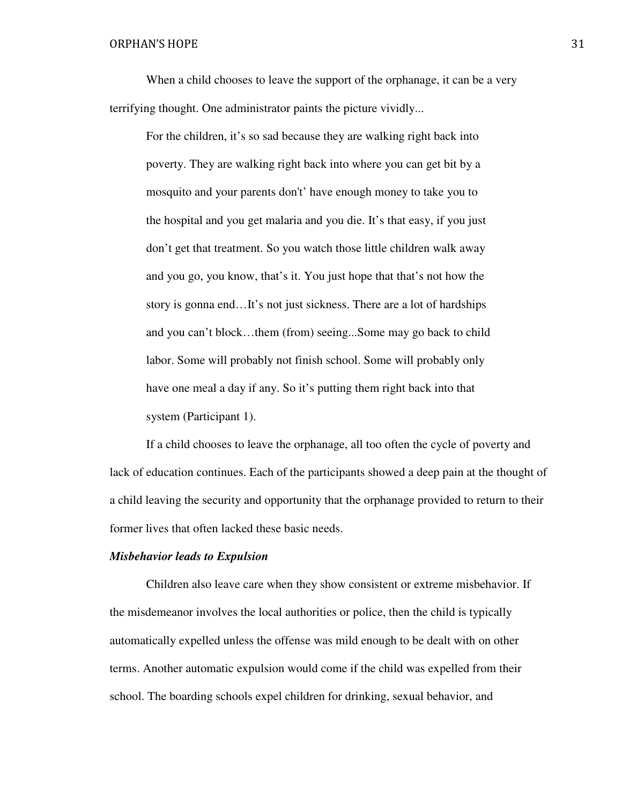When a child chooses to leave the support of the orphanage, it can be a very terrifying thought. One administrator paints the picture vividly...

For the children, it's so sad because they are walking right back into poverty. They are walking right back into where you can get bit by a mosquito and your parents don't' have enough money to take you to the hospital and you get malaria and you die. It's that easy, if you just don't get that treatment. So you watch those little children walk away and you go, you know, that's it. You just hope that that's not how the story is gonna end…It's not just sickness. There are a lot of hardships and you can't block…them (from) seeing...Some may go back to child labor. Some will probably not finish school. Some will probably only have one meal a day if any. So it's putting them right back into that system (Participant 1).

If a child chooses to leave the orphanage, all too often the cycle of poverty and lack of education continues. Each of the participants showed a deep pain at the thought of a child leaving the security and opportunity that the orphanage provided to return to their former lives that often lacked these basic needs.

#### *Misbehavior leads to Expulsion*

 Children also leave care when they show consistent or extreme misbehavior. If the misdemeanor involves the local authorities or police, then the child is typically automatically expelled unless the offense was mild enough to be dealt with on other terms. Another automatic expulsion would come if the child was expelled from their school. The boarding schools expel children for drinking, sexual behavior, and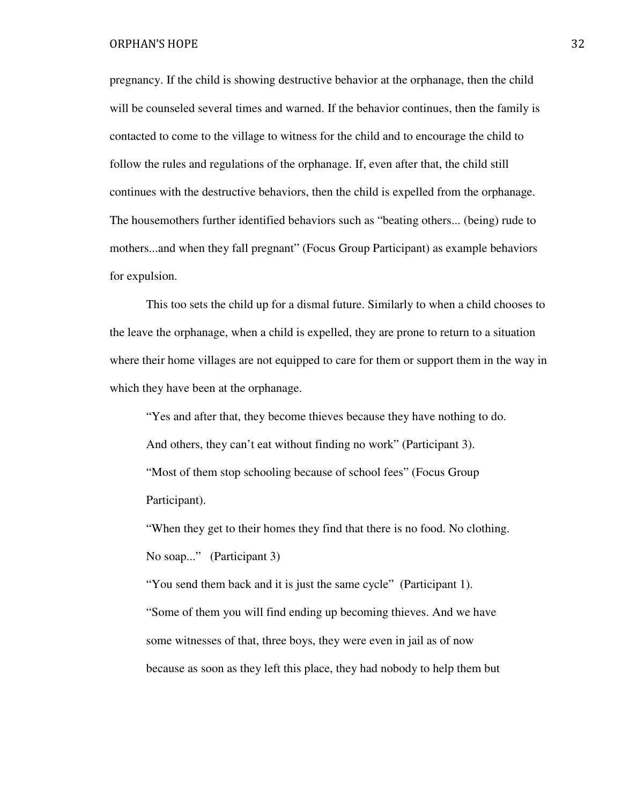pregnancy. If the child is showing destructive behavior at the orphanage, then the child will be counseled several times and warned. If the behavior continues, then the family is contacted to come to the village to witness for the child and to encourage the child to follow the rules and regulations of the orphanage. If, even after that, the child still continues with the destructive behaviors, then the child is expelled from the orphanage. The housemothers further identified behaviors such as "beating others... (being) rude to mothers...and when they fall pregnant" (Focus Group Participant) as example behaviors for expulsion.

 This too sets the child up for a dismal future. Similarly to when a child chooses to the leave the orphanage, when a child is expelled, they are prone to return to a situation where their home villages are not equipped to care for them or support them in the way in which they have been at the orphanage.

"Yes and after that, they become thieves because they have nothing to do. And others, they can't eat without finding no work" (Participant 3). "Most of them stop schooling because of school fees" (Focus Group Participant).

"When they get to their homes they find that there is no food. No clothing. No soap..." (Participant 3)

"You send them back and it is just the same cycle" (Participant 1). "Some of them you will find ending up becoming thieves. And we have some witnesses of that, three boys, they were even in jail as of now because as soon as they left this place, they had nobody to help them but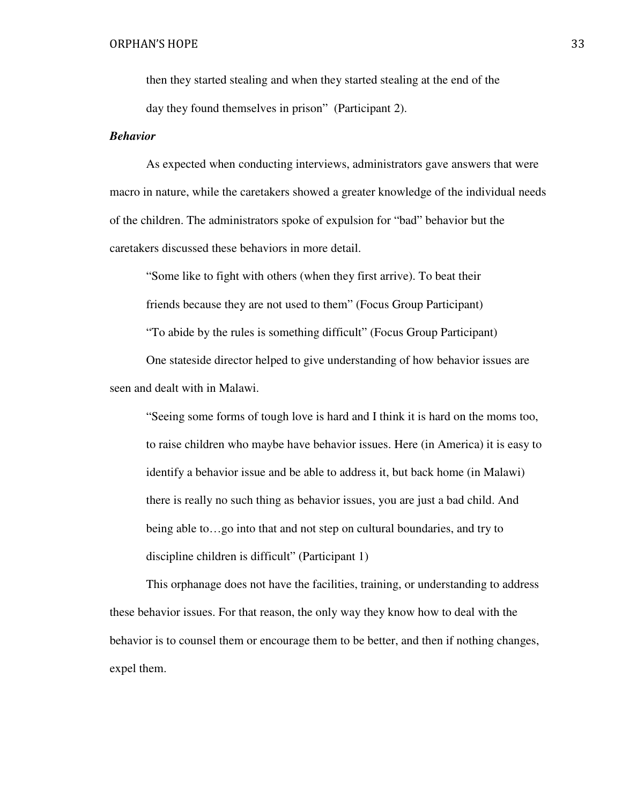then they started stealing and when they started stealing at the end of the day they found themselves in prison" (Participant 2).

# *Behavior*

As expected when conducting interviews, administrators gave answers that were macro in nature, while the caretakers showed a greater knowledge of the individual needs of the children. The administrators spoke of expulsion for "bad" behavior but the caretakers discussed these behaviors in more detail.

"Some like to fight with others (when they first arrive). To beat their friends because they are not used to them" (Focus Group Participant) "To abide by the rules is something difficult" (Focus Group Participant) One stateside director helped to give understanding of how behavior issues are seen and dealt with in Malawi.

 "Seeing some forms of tough love is hard and I think it is hard on the moms too, to raise children who maybe have behavior issues. Here (in America) it is easy to identify a behavior issue and be able to address it, but back home (in Malawi) there is really no such thing as behavior issues, you are just a bad child. And being able to…go into that and not step on cultural boundaries, and try to discipline children is difficult" (Participant 1)

 This orphanage does not have the facilities, training, or understanding to address these behavior issues. For that reason, the only way they know how to deal with the behavior is to counsel them or encourage them to be better, and then if nothing changes, expel them.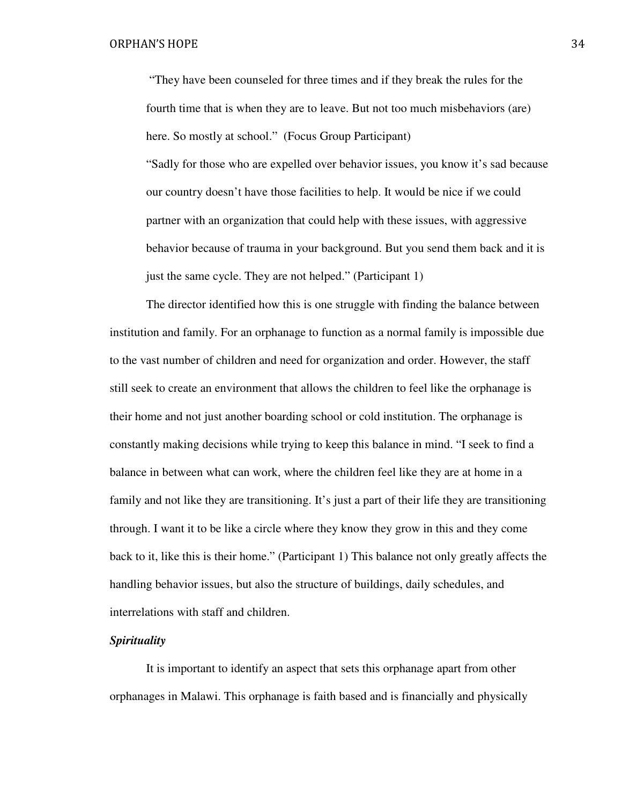"They have been counseled for three times and if they break the rules for the fourth time that is when they are to leave. But not too much misbehaviors (are) here. So mostly at school." (Focus Group Participant) "Sadly for those who are expelled over behavior issues, you know it's sad because our country doesn't have those facilities to help. It would be nice if we could partner with an organization that could help with these issues, with aggressive behavior because of trauma in your background. But you send them back and it is just the same cycle. They are not helped." (Participant 1)

 The director identified how this is one struggle with finding the balance between institution and family. For an orphanage to function as a normal family is impossible due to the vast number of children and need for organization and order. However, the staff still seek to create an environment that allows the children to feel like the orphanage is their home and not just another boarding school or cold institution. The orphanage is constantly making decisions while trying to keep this balance in mind. "I seek to find a balance in between what can work, where the children feel like they are at home in a family and not like they are transitioning. It's just a part of their life they are transitioning through. I want it to be like a circle where they know they grow in this and they come back to it, like this is their home." (Participant 1) This balance not only greatly affects the handling behavior issues, but also the structure of buildings, daily schedules, and interrelations with staff and children.

# *Spirituality*

It is important to identify an aspect that sets this orphanage apart from other orphanages in Malawi. This orphanage is faith based and is financially and physically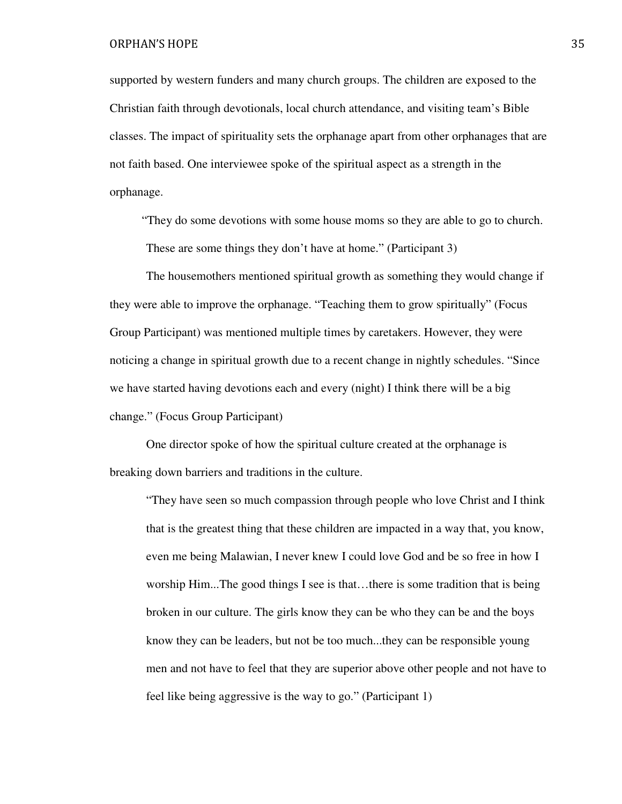supported by western funders and many church groups. The children are exposed to the Christian faith through devotionals, local church attendance, and visiting team's Bible classes. The impact of spirituality sets the orphanage apart from other orphanages that are not faith based. One interviewee spoke of the spiritual aspect as a strength in the orphanage.

"They do some devotions with some house moms so they are able to go to church. These are some things they don't have at home." (Participant 3)

 The housemothers mentioned spiritual growth as something they would change if they were able to improve the orphanage. "Teaching them to grow spiritually" (Focus Group Participant) was mentioned multiple times by caretakers. However, they were noticing a change in spiritual growth due to a recent change in nightly schedules. "Since we have started having devotions each and every (night) I think there will be a big change." (Focus Group Participant)

 One director spoke of how the spiritual culture created at the orphanage is breaking down barriers and traditions in the culture.

 "They have seen so much compassion through people who love Christ and I think that is the greatest thing that these children are impacted in a way that, you know, even me being Malawian, I never knew I could love God and be so free in how I worship Him...The good things I see is that…there is some tradition that is being broken in our culture. The girls know they can be who they can be and the boys know they can be leaders, but not be too much...they can be responsible young men and not have to feel that they are superior above other people and not have to feel like being aggressive is the way to go." (Participant 1)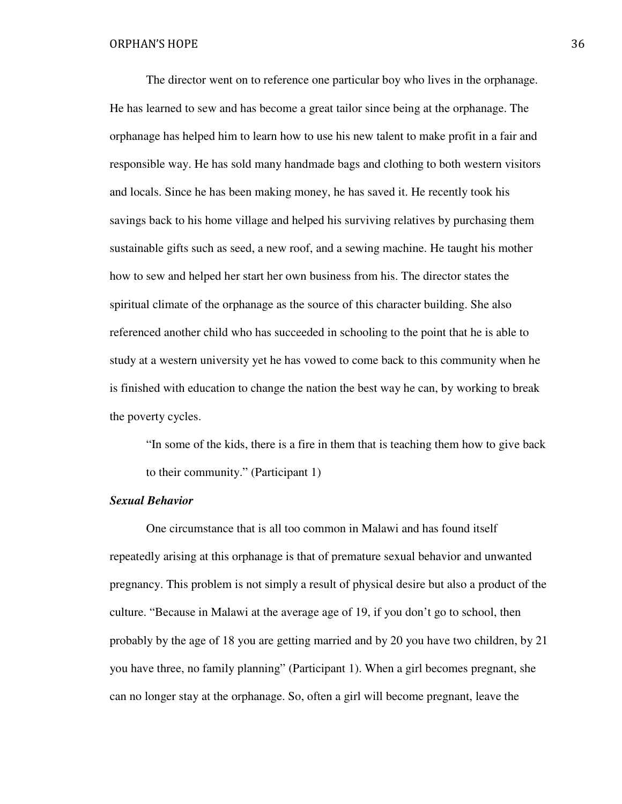The director went on to reference one particular boy who lives in the orphanage. He has learned to sew and has become a great tailor since being at the orphanage. The orphanage has helped him to learn how to use his new talent to make profit in a fair and responsible way. He has sold many handmade bags and clothing to both western visitors and locals. Since he has been making money, he has saved it. He recently took his savings back to his home village and helped his surviving relatives by purchasing them sustainable gifts such as seed, a new roof, and a sewing machine. He taught his mother how to sew and helped her start her own business from his. The director states the spiritual climate of the orphanage as the source of this character building. She also referenced another child who has succeeded in schooling to the point that he is able to study at a western university yet he has vowed to come back to this community when he is finished with education to change the nation the best way he can, by working to break the poverty cycles.

"In some of the kids, there is a fire in them that is teaching them how to give back to their community." (Participant 1)

# *Sexual Behavior*

One circumstance that is all too common in Malawi and has found itself repeatedly arising at this orphanage is that of premature sexual behavior and unwanted pregnancy. This problem is not simply a result of physical desire but also a product of the culture. "Because in Malawi at the average age of 19, if you don't go to school, then probably by the age of 18 you are getting married and by 20 you have two children, by 21 you have three, no family planning" (Participant 1). When a girl becomes pregnant, she can no longer stay at the orphanage. So, often a girl will become pregnant, leave the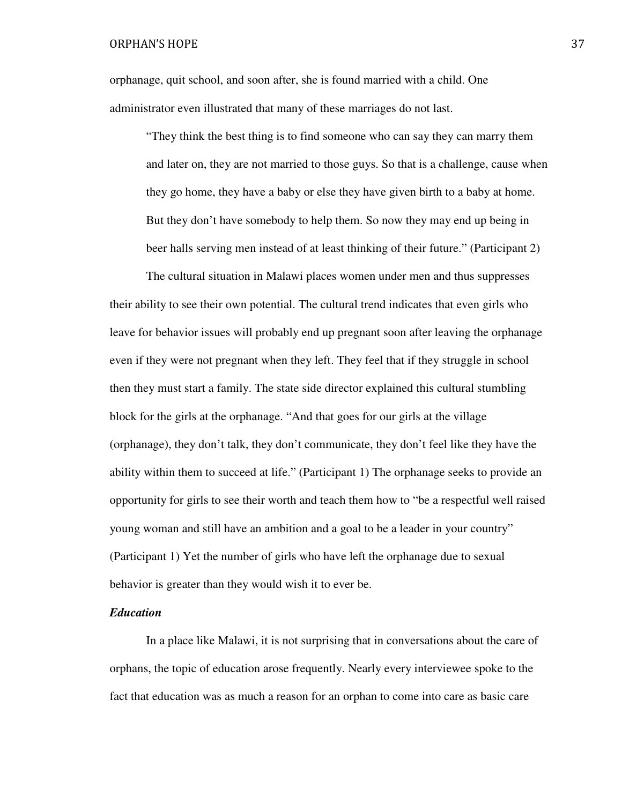orphanage, quit school, and soon after, she is found married with a child. One administrator even illustrated that many of these marriages do not last.

"They think the best thing is to find someone who can say they can marry them and later on, they are not married to those guys. So that is a challenge, cause when they go home, they have a baby or else they have given birth to a baby at home. But they don't have somebody to help them. So now they may end up being in beer halls serving men instead of at least thinking of their future." (Participant 2)

 The cultural situation in Malawi places women under men and thus suppresses their ability to see their own potential. The cultural trend indicates that even girls who leave for behavior issues will probably end up pregnant soon after leaving the orphanage even if they were not pregnant when they left. They feel that if they struggle in school then they must start a family. The state side director explained this cultural stumbling block for the girls at the orphanage. "And that goes for our girls at the village (orphanage), they don't talk, they don't communicate, they don't feel like they have the ability within them to succeed at life." (Participant 1) The orphanage seeks to provide an opportunity for girls to see their worth and teach them how to "be a respectful well raised young woman and still have an ambition and a goal to be a leader in your country" (Participant 1) Yet the number of girls who have left the orphanage due to sexual behavior is greater than they would wish it to ever be.

# *Education*

In a place like Malawi, it is not surprising that in conversations about the care of orphans, the topic of education arose frequently. Nearly every interviewee spoke to the fact that education was as much a reason for an orphan to come into care as basic care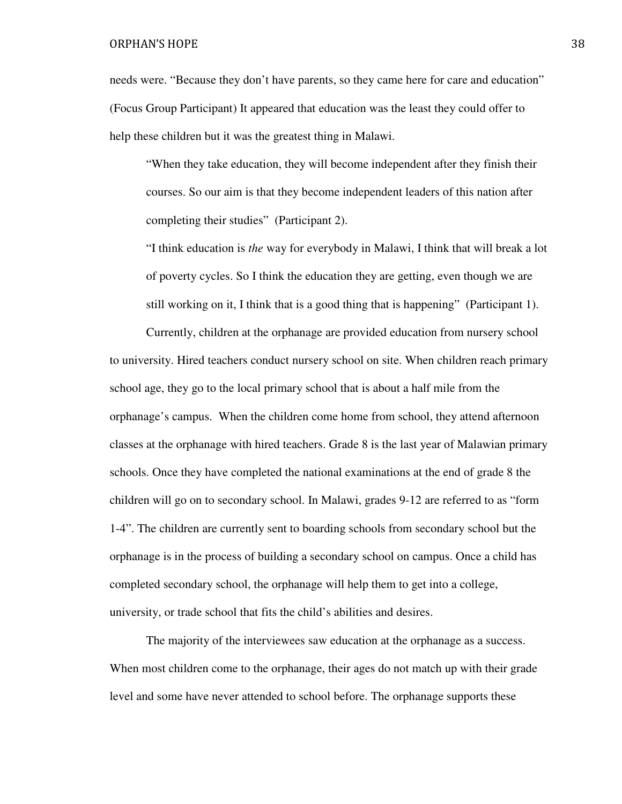needs were. "Because they don't have parents, so they came here for care and education" (Focus Group Participant) It appeared that education was the least they could offer to help these children but it was the greatest thing in Malawi.

"When they take education, they will become independent after they finish their courses. So our aim is that they become independent leaders of this nation after completing their studies" (Participant 2).

"I think education is *the* way for everybody in Malawi, I think that will break a lot of poverty cycles. So I think the education they are getting, even though we are still working on it, I think that is a good thing that is happening" (Participant 1).

 Currently, children at the orphanage are provided education from nursery school to university. Hired teachers conduct nursery school on site. When children reach primary school age, they go to the local primary school that is about a half mile from the orphanage's campus. When the children come home from school, they attend afternoon classes at the orphanage with hired teachers. Grade 8 is the last year of Malawian primary schools. Once they have completed the national examinations at the end of grade 8 the children will go on to secondary school. In Malawi, grades 9-12 are referred to as "form 1-4". The children are currently sent to boarding schools from secondary school but the orphanage is in the process of building a secondary school on campus. Once a child has completed secondary school, the orphanage will help them to get into a college, university, or trade school that fits the child's abilities and desires.

 The majority of the interviewees saw education at the orphanage as a success. When most children come to the orphanage, their ages do not match up with their grade level and some have never attended to school before. The orphanage supports these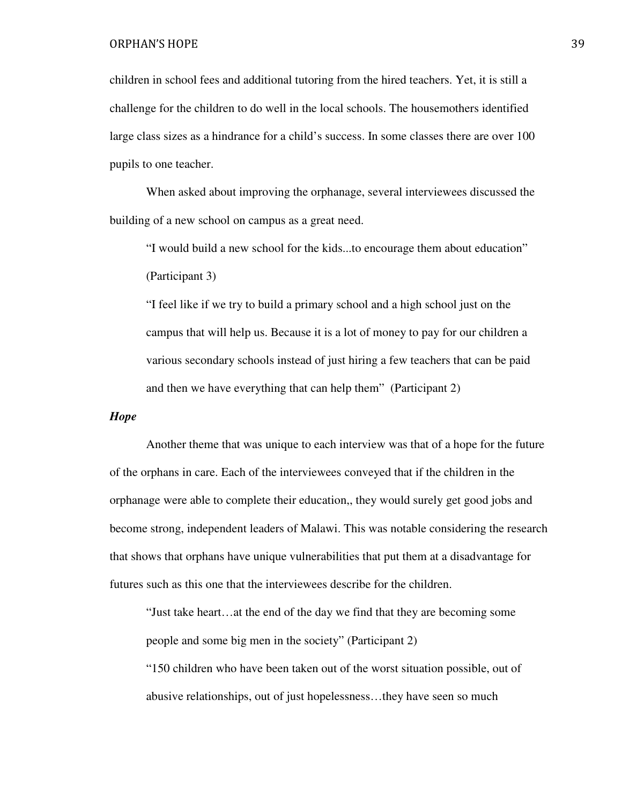children in school fees and additional tutoring from the hired teachers. Yet, it is still a challenge for the children to do well in the local schools. The housemothers identified large class sizes as a hindrance for a child's success. In some classes there are over 100 pupils to one teacher.

 When asked about improving the orphanage, several interviewees discussed the building of a new school on campus as a great need.

"I would build a new school for the kids...to encourage them about education" (Participant 3)

"I feel like if we try to build a primary school and a high school just on the campus that will help us. Because it is a lot of money to pay for our children a various secondary schools instead of just hiring a few teachers that can be paid and then we have everything that can help them" (Participant 2)

# *Hope*

 Another theme that was unique to each interview was that of a hope for the future of the orphans in care. Each of the interviewees conveyed that if the children in the orphanage were able to complete their education,, they would surely get good jobs and become strong, independent leaders of Malawi. This was notable considering the research that shows that orphans have unique vulnerabilities that put them at a disadvantage for futures such as this one that the interviewees describe for the children.

"Just take heart…at the end of the day we find that they are becoming some people and some big men in the society" (Participant 2)

 "150 children who have been taken out of the worst situation possible, out of abusive relationships, out of just hopelessness…they have seen so much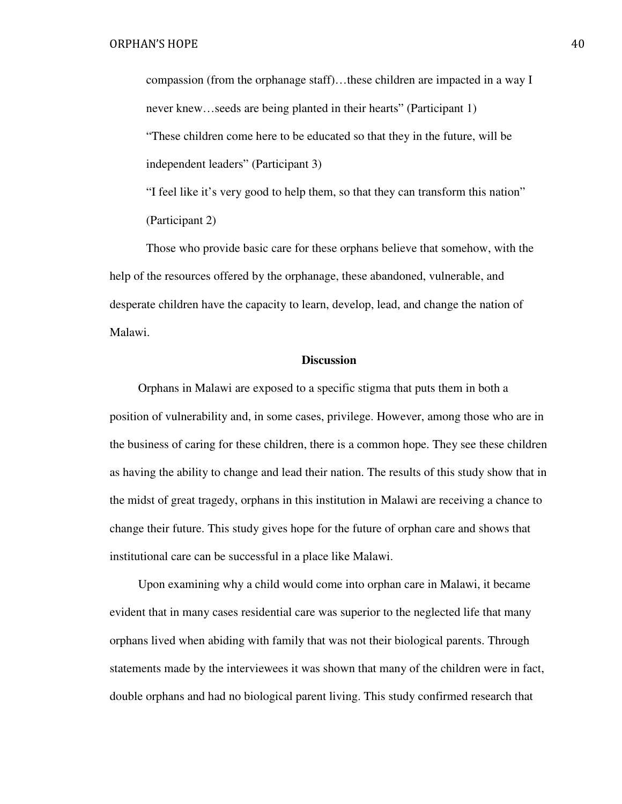compassion (from the orphanage staff)…these children are impacted in a way I never knew…seeds are being planted in their hearts" (Participant 1) "These children come here to be educated so that they in the future, will be independent leaders" (Participant 3)

"I feel like it's very good to help them, so that they can transform this nation" (Participant 2)

 Those who provide basic care for these orphans believe that somehow, with the help of the resources offered by the orphanage, these abandoned, vulnerable, and desperate children have the capacity to learn, develop, lead, and change the nation of Malawi.

# **Discussion**

Orphans in Malawi are exposed to a specific stigma that puts them in both a position of vulnerability and, in some cases, privilege. However, among those who are in the business of caring for these children, there is a common hope. They see these children as having the ability to change and lead their nation. The results of this study show that in the midst of great tragedy, orphans in this institution in Malawi are receiving a chance to change their future. This study gives hope for the future of orphan care and shows that institutional care can be successful in a place like Malawi.

 Upon examining why a child would come into orphan care in Malawi, it became evident that in many cases residential care was superior to the neglected life that many orphans lived when abiding with family that was not their biological parents. Through statements made by the interviewees it was shown that many of the children were in fact, double orphans and had no biological parent living. This study confirmed research that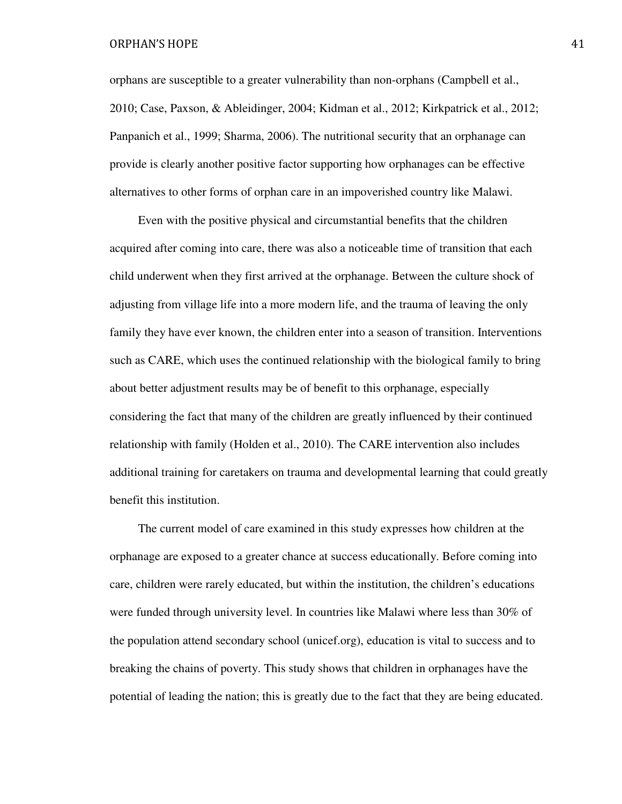orphans are susceptible to a greater vulnerability than non-orphans (Campbell et al., 2010; Case, Paxson, & Ableidinger, 2004; Kidman et al., 2012; Kirkpatrick et al., 2012; Panpanich et al., 1999; Sharma, 2006). The nutritional security that an orphanage can provide is clearly another positive factor supporting how orphanages can be effective alternatives to other forms of orphan care in an impoverished country like Malawi.

 Even with the positive physical and circumstantial benefits that the children acquired after coming into care, there was also a noticeable time of transition that each child underwent when they first arrived at the orphanage. Between the culture shock of adjusting from village life into a more modern life, and the trauma of leaving the only family they have ever known, the children enter into a season of transition. Interventions such as CARE, which uses the continued relationship with the biological family to bring about better adjustment results may be of benefit to this orphanage, especially considering the fact that many of the children are greatly influenced by their continued relationship with family (Holden et al., 2010). The CARE intervention also includes additional training for caretakers on trauma and developmental learning that could greatly benefit this institution.

 The current model of care examined in this study expresses how children at the orphanage are exposed to a greater chance at success educationally. Before coming into care, children were rarely educated, but within the institution, the children's educations were funded through university level. In countries like Malawi where less than 30% of the population attend secondary school (unicef.org), education is vital to success and to breaking the chains of poverty. This study shows that children in orphanages have the potential of leading the nation; this is greatly due to the fact that they are being educated.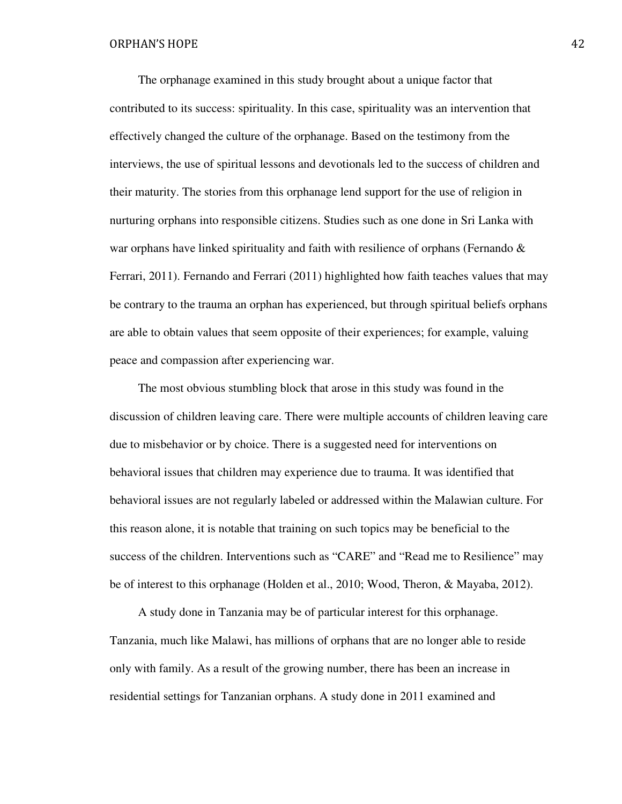The orphanage examined in this study brought about a unique factor that contributed to its success: spirituality. In this case, spirituality was an intervention that effectively changed the culture of the orphanage. Based on the testimony from the interviews, the use of spiritual lessons and devotionals led to the success of children and their maturity. The stories from this orphanage lend support for the use of religion in nurturing orphans into responsible citizens. Studies such as one done in Sri Lanka with war orphans have linked spirituality and faith with resilience of orphans (Fernando & Ferrari, 2011). Fernando and Ferrari (2011) highlighted how faith teaches values that may be contrary to the trauma an orphan has experienced, but through spiritual beliefs orphans are able to obtain values that seem opposite of their experiences; for example, valuing peace and compassion after experiencing war.

 The most obvious stumbling block that arose in this study was found in the discussion of children leaving care. There were multiple accounts of children leaving care due to misbehavior or by choice. There is a suggested need for interventions on behavioral issues that children may experience due to trauma. It was identified that behavioral issues are not regularly labeled or addressed within the Malawian culture. For this reason alone, it is notable that training on such topics may be beneficial to the success of the children. Interventions such as "CARE" and "Read me to Resilience" may be of interest to this orphanage (Holden et al., 2010; Wood, Theron, & Mayaba, 2012).

 A study done in Tanzania may be of particular interest for this orphanage. Tanzania, much like Malawi, has millions of orphans that are no longer able to reside only with family. As a result of the growing number, there has been an increase in residential settings for Tanzanian orphans. A study done in 2011 examined and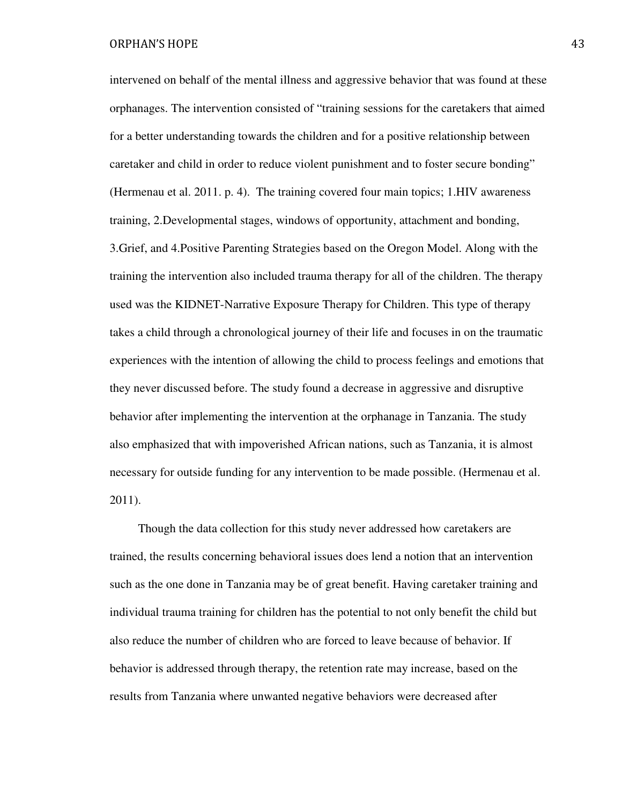intervened on behalf of the mental illness and aggressive behavior that was found at these orphanages. The intervention consisted of "training sessions for the caretakers that aimed for a better understanding towards the children and for a positive relationship between caretaker and child in order to reduce violent punishment and to foster secure bonding" (Hermenau et al. 2011. p. 4). The training covered four main topics; 1.HIV awareness training, 2.Developmental stages, windows of opportunity, attachment and bonding, 3.Grief, and 4.Positive Parenting Strategies based on the Oregon Model. Along with the training the intervention also included trauma therapy for all of the children. The therapy used was the KIDNET-Narrative Exposure Therapy for Children. This type of therapy takes a child through a chronological journey of their life and focuses in on the traumatic experiences with the intention of allowing the child to process feelings and emotions that they never discussed before. The study found a decrease in aggressive and disruptive behavior after implementing the intervention at the orphanage in Tanzania. The study also emphasized that with impoverished African nations, such as Tanzania, it is almost necessary for outside funding for any intervention to be made possible. (Hermenau et al. 2011).

 Though the data collection for this study never addressed how caretakers are trained, the results concerning behavioral issues does lend a notion that an intervention such as the one done in Tanzania may be of great benefit. Having caretaker training and individual trauma training for children has the potential to not only benefit the child but also reduce the number of children who are forced to leave because of behavior. If behavior is addressed through therapy, the retention rate may increase, based on the results from Tanzania where unwanted negative behaviors were decreased after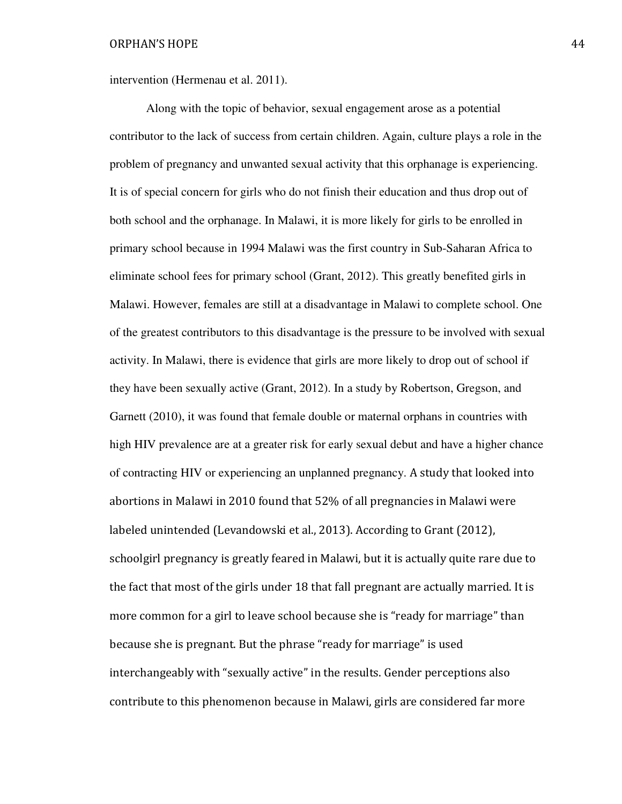intervention (Hermenau et al. 2011).

 Along with the topic of behavior, sexual engagement arose as a potential contributor to the lack of success from certain children. Again, culture plays a role in the problem of pregnancy and unwanted sexual activity that this orphanage is experiencing. It is of special concern for girls who do not finish their education and thus drop out of both school and the orphanage. In Malawi, it is more likely for girls to be enrolled in primary school because in 1994 Malawi was the first country in Sub-Saharan Africa to eliminate school fees for primary school (Grant, 2012). This greatly benefited girls in Malawi. However, females are still at a disadvantage in Malawi to complete school. One of the greatest contributors to this disadvantage is the pressure to be involved with sexual activity. In Malawi, there is evidence that girls are more likely to drop out of school if they have been sexually active (Grant, 2012). In a study by Robertson, Gregson, and Garnett (2010), it was found that female double or maternal orphans in countries with high HIV prevalence are at a greater risk for early sexual debut and have a higher chance of contracting HIV or experiencing an unplanned pregnancy. A study that looked into abortions in Malawi in 2010 found that 52% of all pregnancies in Malawi were labeled unintended (Levandowski et al., 2013). According to Grant (2012), schoolgirl pregnancy is greatly feared in Malawi, but it is actually quite rare due to the fact that most of the girls under 18 that fall pregnant are actually married. It is more common for a girl to leave school because she is "ready for marriage" than because she is pregnant. But the phrase "ready for marriage" is used interchangeably with "sexually active" in the results. Gender perceptions also contribute to this phenomenon because in Malawi, girls are considered far more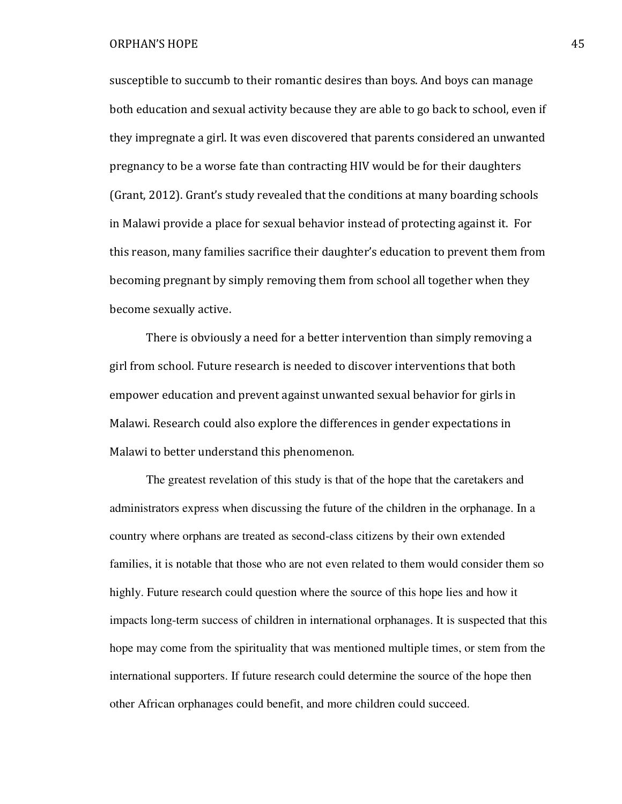susceptible to succumb to their romantic desires than boys. And boys can manage both education and sexual activity because they are able to go back to school, even if they impregnate a girl. It was even discovered that parents considered an unwanted pregnancy to be a worse fate than contracting HIV would be for their daughters (Grant, 2012). Grant's study revealed that the conditions at many boarding schools in Malawi provide a place for sexual behavior instead of protecting against it. For this reason, many families sacrifice their daughter's education to prevent them from becoming pregnant by simply removing them from school all together when they become sexually active.

 There is obviously a need for a better intervention than simply removing a girl from school. Future research is needed to discover interventions that both empower education and prevent against unwanted sexual behavior for girls in Malawi. Research could also explore the differences in gender expectations in Malawi to better understand this phenomenon.

 The greatest revelation of this study is that of the hope that the caretakers and administrators express when discussing the future of the children in the orphanage. In a country where orphans are treated as second-class citizens by their own extended families, it is notable that those who are not even related to them would consider them so highly. Future research could question where the source of this hope lies and how it impacts long-term success of children in international orphanages. It is suspected that this hope may come from the spirituality that was mentioned multiple times, or stem from the international supporters. If future research could determine the source of the hope then other African orphanages could benefit, and more children could succeed.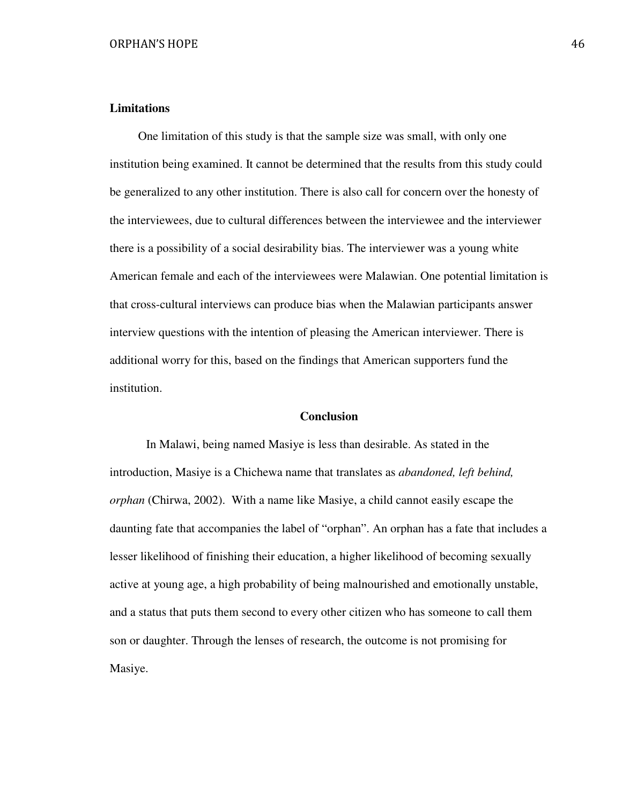# **Limitations**

 One limitation of this study is that the sample size was small, with only one institution being examined. It cannot be determined that the results from this study could be generalized to any other institution. There is also call for concern over the honesty of the interviewees, due to cultural differences between the interviewee and the interviewer there is a possibility of a social desirability bias. The interviewer was a young white American female and each of the interviewees were Malawian. One potential limitation is that cross-cultural interviews can produce bias when the Malawian participants answer interview questions with the intention of pleasing the American interviewer. There is additional worry for this, based on the findings that American supporters fund the institution.

# **Conclusion**

In Malawi, being named Masiye is less than desirable. As stated in the introduction, Masiye is a Chichewa name that translates as *abandoned, left behind, orphan* (Chirwa, 2002). With a name like Masiye, a child cannot easily escape the daunting fate that accompanies the label of "orphan". An orphan has a fate that includes a lesser likelihood of finishing their education, a higher likelihood of becoming sexually active at young age, a high probability of being malnourished and emotionally unstable, and a status that puts them second to every other citizen who has someone to call them son or daughter. Through the lenses of research, the outcome is not promising for Masiye.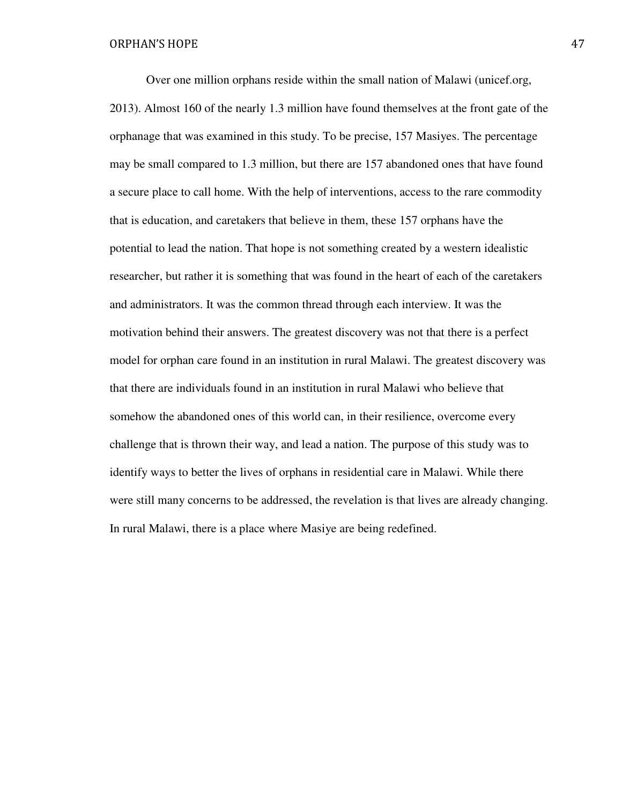Over one million orphans reside within the small nation of Malawi (unicef.org, 2013). Almost 160 of the nearly 1.3 million have found themselves at the front gate of the orphanage that was examined in this study. To be precise, 157 Masiyes. The percentage may be small compared to 1.3 million, but there are 157 abandoned ones that have found a secure place to call home. With the help of interventions, access to the rare commodity that is education, and caretakers that believe in them, these 157 orphans have the potential to lead the nation. That hope is not something created by a western idealistic researcher, but rather it is something that was found in the heart of each of the caretakers and administrators. It was the common thread through each interview. It was the motivation behind their answers. The greatest discovery was not that there is a perfect model for orphan care found in an institution in rural Malawi. The greatest discovery was that there are individuals found in an institution in rural Malawi who believe that somehow the abandoned ones of this world can, in their resilience, overcome every challenge that is thrown their way, and lead a nation. The purpose of this study was to identify ways to better the lives of orphans in residential care in Malawi. While there were still many concerns to be addressed, the revelation is that lives are already changing. In rural Malawi, there is a place where Masiye are being redefined.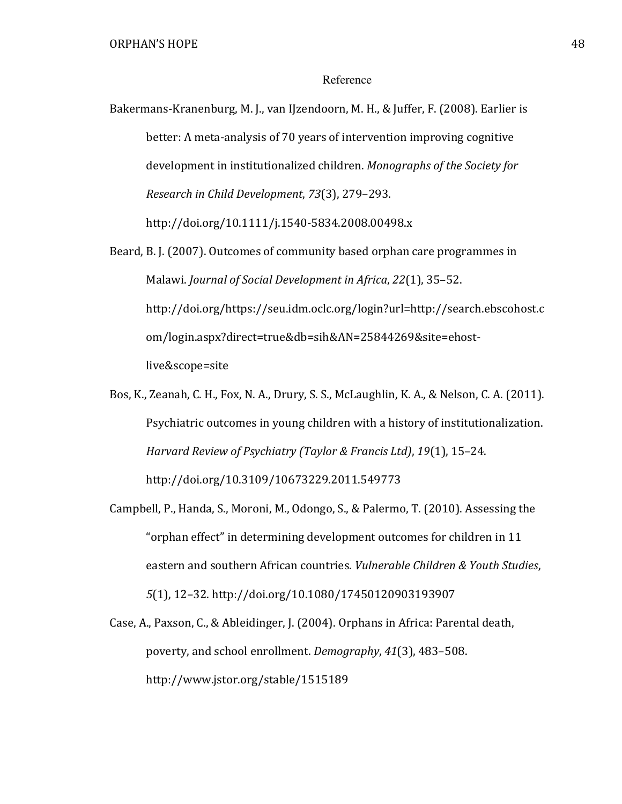# Reference

Bakermans-Kranenburg, M. J., van IJzendoorn, M. H., & Juffer, F. (2008). Earlier is better: A meta-analysis of 70 years of intervention improving cognitive development in institutionalized children. Monographs of the Society for Research in Child Development, 73(3), 279–293.

http://doi.org/10.1111/j.1540-5834.2008.00498.x

- Beard, B. J. (2007). Outcomes of community based orphan care programmes in Malawi. Journal of Social Development in Africa, 22(1), 35–52. http://doi.org/https://seu.idm.oclc.org/login?url=http://search.ebscohost.c om/login.aspx?direct=true&db=sih&AN=25844269&site=ehostlive&scope=site
- Bos, K., Zeanah, C. H., Fox, N. A., Drury, S. S., McLaughlin, K. A., & Nelson, C. A. (2011). Psychiatric outcomes in young children with a history of institutionalization. Harvard Review of Psychiatry (Taylor & Francis Ltd), 19(1), 15–24. http://doi.org/10.3109/10673229.2011.549773
- Campbell, P., Handa, S., Moroni, M., Odongo, S., & Palermo, T. (2010). Assessing the "orphan effect" in determining development outcomes for children in 11 eastern and southern African countries. Vulnerable Children & Youth Studies, 5(1), 12–32. http://doi.org/10.1080/17450120903193907
- Case, A., Paxson, C., & Ableidinger, J. (2004). Orphans in Africa: Parental death, poverty, and school enrollment. Demography, 41(3), 483–508. http://www.jstor.org/stable/1515189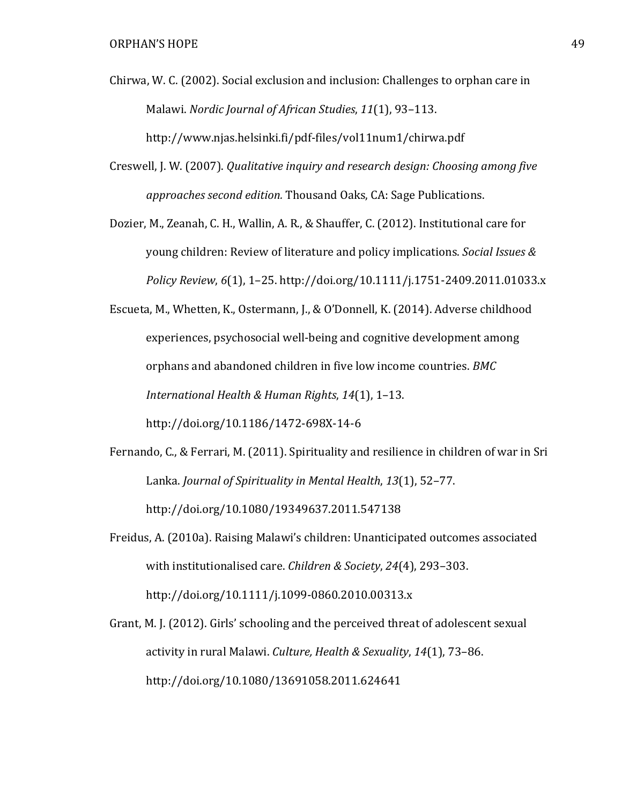- Chirwa, W. C. (2002). Social exclusion and inclusion: Challenges to orphan care in Malawi. Nordic Journal of African Studies, 11(1), 93–113. http://www.njas.helsinki.fi/pdf-files/vol11num1/chirwa.pdf
- Creswell, J. W. (2007). Qualitative inquiry and research design: Choosing among five approaches second edition. Thousand Oaks, CA: Sage Publications.
- Dozier, M., Zeanah, C. H., Wallin, A. R., & Shauffer, C. (2012). Institutional care for young children: Review of literature and policy implications. Social Issues & Policy Review, 6(1), 1–25. http://doi.org/10.1111/j.1751-2409.2011.01033.x
- Escueta, M., Whetten, K., Ostermann, J., & O'Donnell, K. (2014). Adverse childhood experiences, psychosocial well-being and cognitive development among orphans and abandoned children in five low income countries. BMC International Health & Human Rights, 14(1), 1–13. http://doi.org/10.1186/1472-698X-14-6
- Fernando, C., & Ferrari, M. (2011). Spirituality and resilience in children of war in Sri Lanka. Journal of Spirituality in Mental Health, 13(1), 52–77. http://doi.org/10.1080/19349637.2011.547138
- Freidus, A. (2010a). Raising Malawi's children: Unanticipated outcomes associated with institutionalised care. Children & Society, 24(4), 293–303. http://doi.org/10.1111/j.1099-0860.2010.00313.x
- Grant, M. J. (2012). Girls' schooling and the perceived threat of adolescent sexual activity in rural Malawi. Culture, Health & Sexuality, 14(1), 73–86. http://doi.org/10.1080/13691058.2011.624641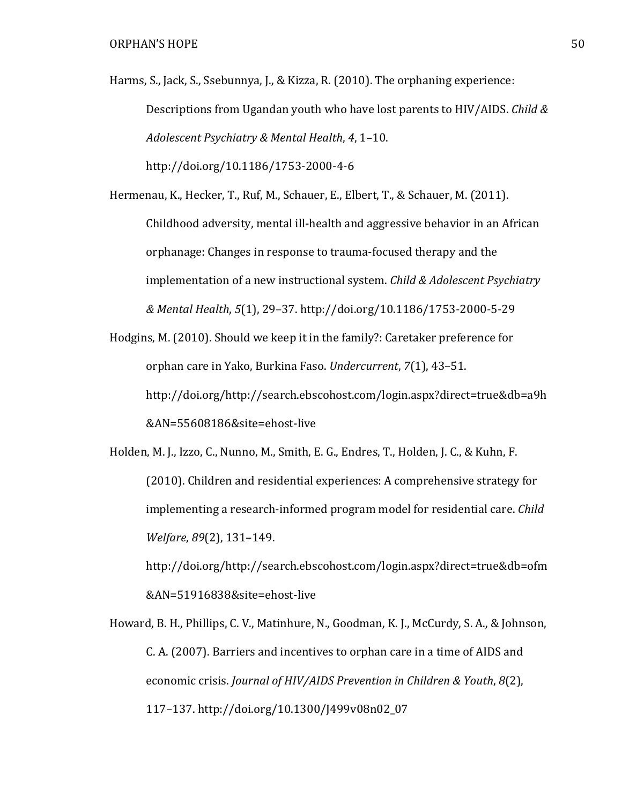Harms, S., Jack, S., Ssebunnya, J., & Kizza, R. (2010). The orphaning experience: Descriptions from Ugandan youth who have lost parents to HIV/AIDS. Child & Adolescent Psychiatry & Mental Health, 4, 1–10.

http://doi.org/10.1186/1753-2000-4-6

Hermenau, K., Hecker, T., Ruf, M., Schauer, E., Elbert, T., & Schauer, M. (2011). Childhood adversity, mental ill-health and aggressive behavior in an African orphanage: Changes in response to trauma-focused therapy and the implementation of a new instructional system. Child & Adolescent Psychiatry & Mental Health, 5(1), 29–37. http://doi.org/10.1186/1753-2000-5-29

Hodgins, M. (2010). Should we keep it in the family?: Caretaker preference for orphan care in Yako, Burkina Faso. Undercurrent, 7(1), 43–51. http://doi.org/http://search.ebscohost.com/login.aspx?direct=true&db=a9h &AN=55608186&site=ehost-live

Holden, M. J., Izzo, C., Nunno, M., Smith, E. G., Endres, T., Holden, J. C., & Kuhn, F. (2010). Children and residential experiences: A comprehensive strategy for implementing a research-informed program model for residential care. Child Welfare, 89(2), 131–149.

http://doi.org/http://search.ebscohost.com/login.aspx?direct=true&db=ofm &AN=51916838&site=ehost-live

Howard, B. H., Phillips, C. V., Matinhure, N., Goodman, K. J., McCurdy, S. A., & Johnson, C. A. (2007). Barriers and incentives to orphan care in a time of AIDS and economic crisis. Journal of HIV/AIDS Prevention in Children & Youth, 8(2), 117–137. http://doi.org/10.1300/J499v08n02\_07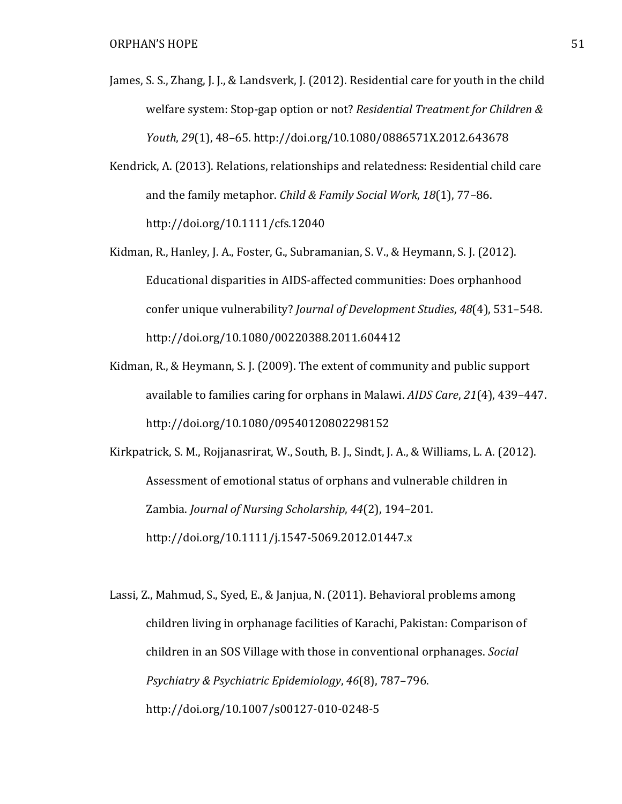- James, S. S., Zhang, J. J., & Landsverk, J. (2012). Residential care for youth in the child welfare system: Stop-gap option or not? Residential Treatment for Children & Youth, 29(1), 48–65. http://doi.org/10.1080/0886571X.2012.643678
- Kendrick, A. (2013). Relations, relationships and relatedness: Residential child care and the family metaphor. Child & Family Social Work, 18(1), 77–86. http://doi.org/10.1111/cfs.12040
- Kidman, R., Hanley, J. A., Foster, G., Subramanian, S. V., & Heymann, S. J. (2012). Educational disparities in AIDS-affected communities: Does orphanhood confer unique vulnerability? Journal of Development Studies, 48(4), 531–548. http://doi.org/10.1080/00220388.2011.604412
- Kidman, R., & Heymann, S. J. (2009). The extent of community and public support available to families caring for orphans in Malawi. AIDS Care, 21(4), 439–447. http://doi.org/10.1080/09540120802298152

Kirkpatrick, S. M., Rojjanasrirat, W., South, B. J., Sindt, J. A., & Williams, L. A. (2012). Assessment of emotional status of orphans and vulnerable children in Zambia. Journal of Nursing Scholarship, 44(2), 194–201. http://doi.org/10.1111/j.1547-5069.2012.01447.x

Lassi, Z., Mahmud, S., Syed, E., & Janjua, N. (2011). Behavioral problems among children living in orphanage facilities of Karachi, Pakistan: Comparison of children in an SOS Village with those in conventional orphanages. Social Psychiatry & Psychiatric Epidemiology, 46(8), 787–796. http://doi.org/10.1007/s00127-010-0248-5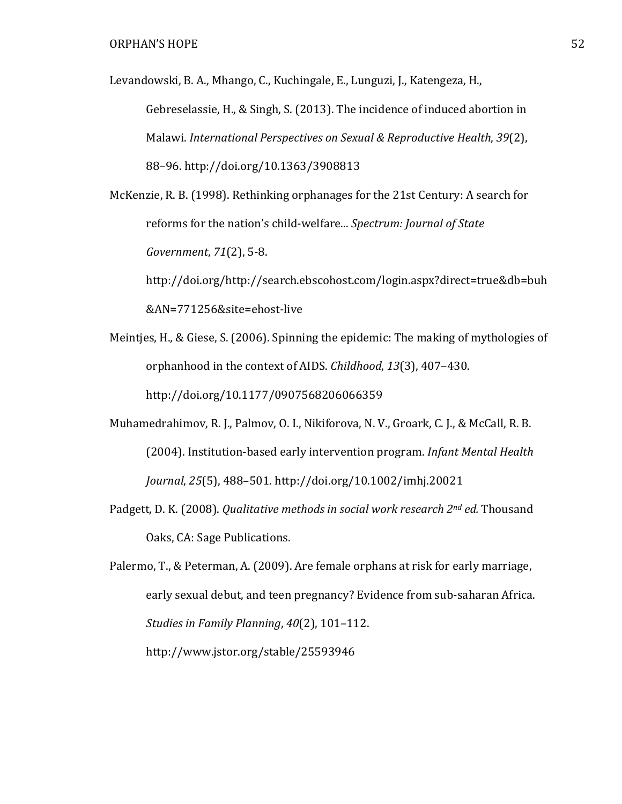Levandowski, B. A., Mhango, C., Kuchingale, E., Lunguzi, J., Katengeza, H.,

Gebreselassie, H., & Singh, S. (2013). The incidence of induced abortion in Malawi. International Perspectives on Sexual & Reproductive Health, 39(2), 88–96. http://doi.org/10.1363/3908813

McKenzie, R. B. (1998). Rethinking orphanages for the 21st Century: A search for reforms for the nation's child-welfare... Spectrum: Journal of State Government, 71(2), 5-8.

http://doi.org/http://search.ebscohost.com/login.aspx?direct=true&db=buh &AN=771256&site=ehost-live

- Meintjes, H., & Giese, S. (2006). Spinning the epidemic: The making of mythologies of orphanhood in the context of AIDS. Childhood, 13(3), 407–430. http://doi.org/10.1177/0907568206066359
- Muhamedrahimov, R. J., Palmov, O. I., Nikiforova, N. V., Groark, C. J., & McCall, R. B. (2004). Institution-based early intervention program. Infant Mental Health Journal, 25(5), 488–501. http://doi.org/10.1002/imhj.20021
- Padgett, D. K. (2008). Qualitative methods in social work research 2<sup>nd</sup> ed. Thousand Oaks, CA: Sage Publications.

Palermo, T., & Peterman, A. (2009). Are female orphans at risk for early marriage, early sexual debut, and teen pregnancy? Evidence from sub-saharan Africa. Studies in Family Planning, 40(2), 101–112. http://www.jstor.org/stable/25593946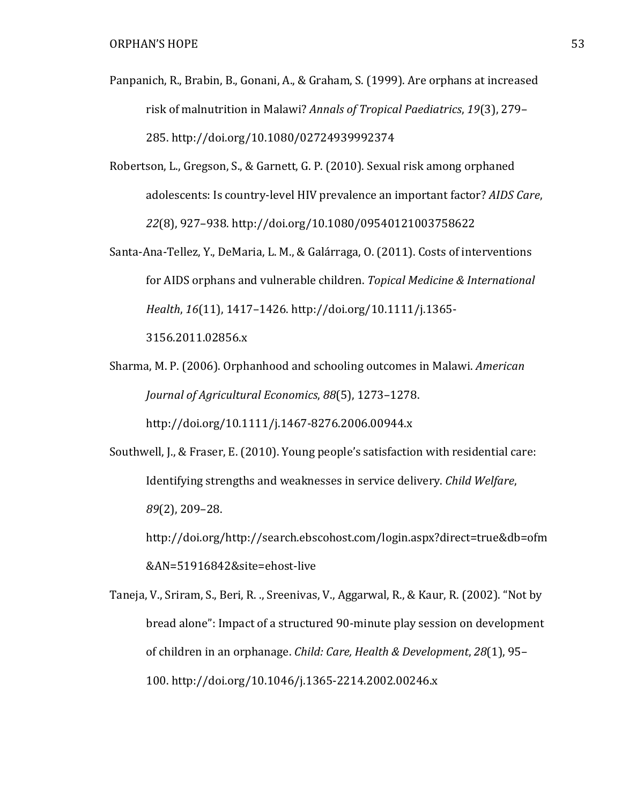- Panpanich, R., Brabin, B., Gonani, A., & Graham, S. (1999). Are orphans at increased risk of malnutrition in Malawi? Annals of Tropical Paediatrics, 19(3), 279– 285. http://doi.org/10.1080/02724939992374
- Robertson, L., Gregson, S., & Garnett, G. P. (2010). Sexual risk among orphaned adolescents: Is country-level HIV prevalence an important factor? AIDS Care, 22(8), 927–938. http://doi.org/10.1080/09540121003758622
- Santa-Ana-Tellez, Y., DeMaria, L. M., & Galárraga, O. (2011). Costs of interventions for AIDS orphans and vulnerable children. Topical Medicine & International Health, 16(11), 1417–1426. http://doi.org/10.1111/j.1365- 3156.2011.02856.x
- Sharma, M. P. (2006). Orphanhood and schooling outcomes in Malawi. American Journal of Agricultural Economics, 88(5), 1273–1278. http://doi.org/10.1111/j.1467-8276.2006.00944.x
- Southwell, J., & Fraser, E. (2010). Young people's satisfaction with residential care: Identifying strengths and weaknesses in service delivery. Child Welfare, 89(2), 209–28.

http://doi.org/http://search.ebscohost.com/login.aspx?direct=true&db=ofm &AN=51916842&site=ehost-live

Taneja, V., Sriram, S., Beri, R. ., Sreenivas, V., Aggarwal, R., & Kaur, R. (2002). "Not by bread alone": Impact of a structured 90-minute play session on development of children in an orphanage. Child: Care, Health & Development, 28(1), 95– 100. http://doi.org/10.1046/j.1365-2214.2002.00246.x